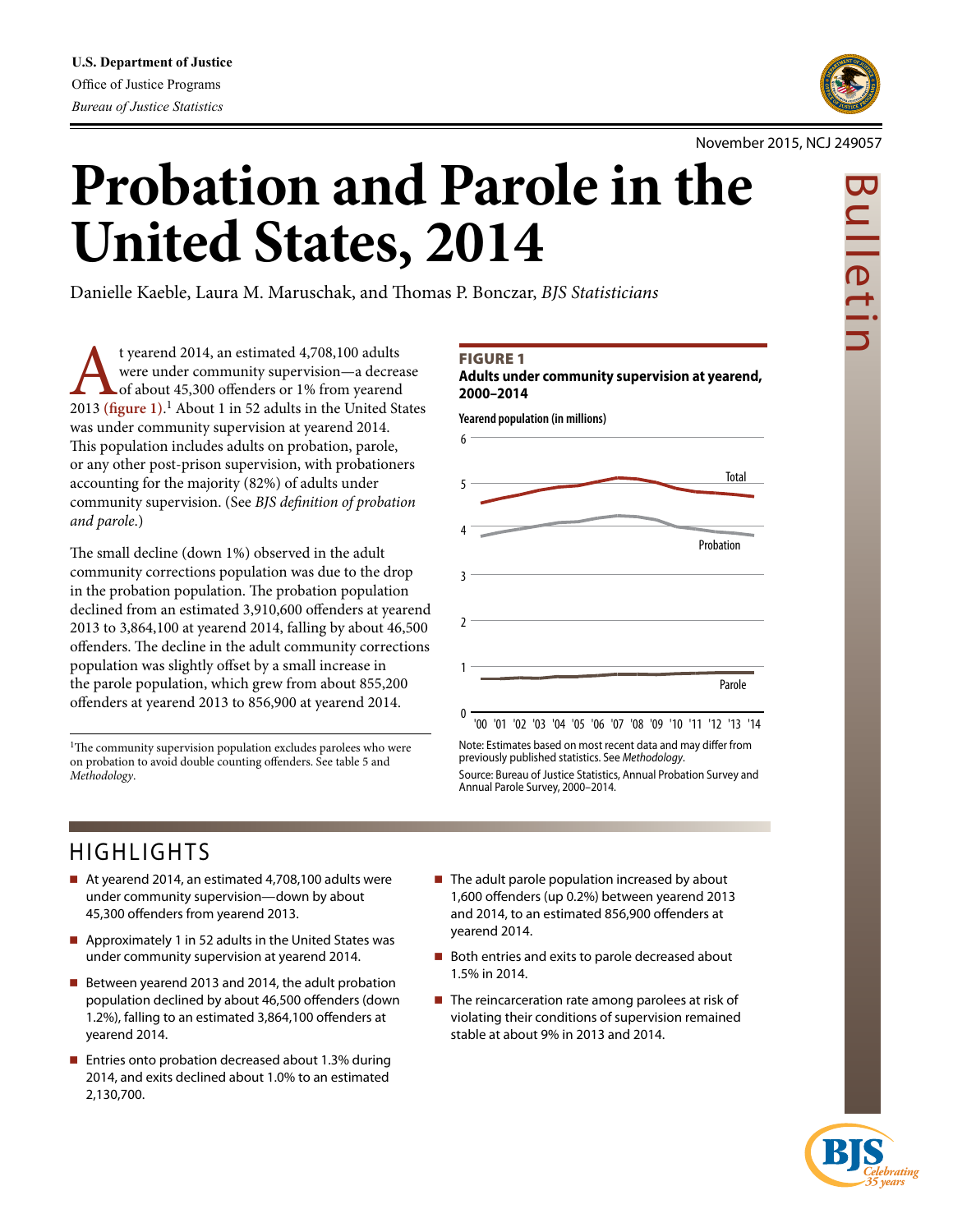

#### November 2015, NCJ 249057

# Bulletin ulletir

# **Probation and Parole in the United States, 2014**

Danielle Kaeble, Laura M. Maruschak, and Thomas P. Bonczar, *BJS Statisticians*

t yearend 2014, an estimated 4,708,100 adults<br>were under community supervision—a decrease<br>2013 (figure 1).<sup>1</sup> About 1 in 52 adults in the United States were under community supervision—a decrease of about 45,300 offenders or 1% from yearend was under community supervision at yearend 2014. This population includes adults on probation, parole, or any other post-prison supervision, with probationers accounting for the majority (82%) of adults under community supervision. (See *BJS definition of probation and parole*.)

The small decline (down 1%) observed in the adult community corrections population was due to the drop in the probation population. The probation population declined from an estimated 3,910,600 offenders at yearend 2013 to 3,864,100 at yearend 2014, falling by about 46,500 offenders. The decline in the adult community corrections population was slightly offset by a small increase in the parole population, which grew from about 855,200 offenders at yearend 2013 to 856,900 at yearend 2014.

<sup>1</sup>The community supervision population excludes parolees who were on probation to avoid double counting offenders. See table 5 and *Methodology*.

#### Figure 1

**Adults under community supervision at yearend, 2000–2014**

**Yearend population (in millions)**



Note: Estimates based on most recent data and may differ from previously published statistics. See *Methodology*. Source: Bureau of Justice Statistics, Annual Probation Survey and Annual Parole Survey, 2000–2014.

# HIGHLIGHTS

- At yearend 2014, an estimated 4,708,100 adults were under community supervision—down by about 45,300 offenders from yearend 2013.
- Approximately 1 in 52 adults in the United States was under community supervision at yearend 2014.
- Between yearend 2013 and 2014, the adult probation population declined by about 46,500 offenders (down 1.2%), falling to an estimated 3,864,100 offenders at yearend 2014.
- Entries onto probation decreased about 1.3% during 2014, and exits declined about 1.0% to an estimated 2,130,700.
- $\blacksquare$  The adult parole population increased by about 1,600 offenders (up 0.2%) between yearend 2013 and 2014, to an estimated 856,900 offenders at yearend 2014.
- Both entries and exits to parole decreased about 1.5% in 2014.
- $\blacksquare$  The reincarceration rate among parolees at risk of violating their conditions of supervision remained stable at about 9% in 2013 and 2014.

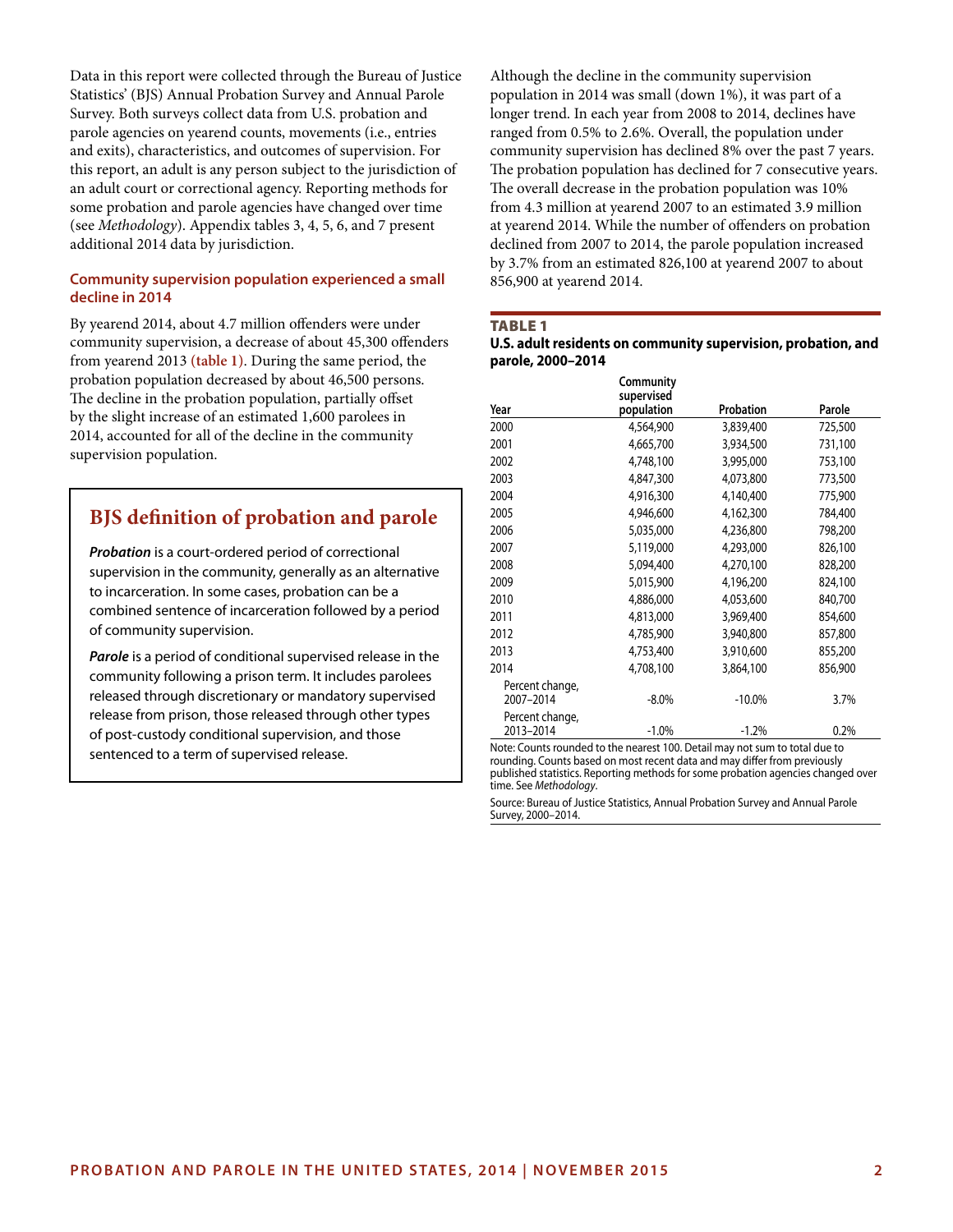Data in this report were collected through the Bureau of Justice Statistics' (BJS) Annual Probation Survey and Annual Parole Survey. Both surveys collect data from U.S. probation and parole agencies on yearend counts, movements (i.e., entries and exits), characteristics, and outcomes of supervision. For this report, an adult is any person subject to the jurisdiction of an adult court or correctional agency. Reporting methods for some probation and parole agencies have changed over time (see *Methodology*). Appendix tables 3, 4, 5, 6, and 7 present additional 2014 data by jurisdiction.

#### **Community supervision population experienced a small decline in 2014**

By yearend 2014, about 4.7 million offenders were under community supervision, a decrease of about 45,300 offenders from yearend 2013 **(table 1)**. During the same period, the probation population decreased by about 46,500 persons. The decline in the probation population, partially offset by the slight increase of an estimated 1,600 parolees in 2014, accounted for all of the decline in the community supervision population.

### **BJS definition of probation and parole**

*Probation* is a court-ordered period of correctional supervision in the community, generally as an alternative to incarceration. In some cases, probation can be a combined sentence of incarceration followed by a period of community supervision.

*Parole* is a period of conditional supervised release in the community following a prison term. It includes parolees released through discretionary or mandatory supervised release from prison, those released through other types of post-custody conditional supervision, and those sentenced to a term of supervised release.

Although the decline in the community supervision population in 2014 was small (down 1%), it was part of a longer trend. In each year from 2008 to 2014, declines have ranged from 0.5% to 2.6%. Overall, the population under community supervision has declined 8% over the past 7 years. The probation population has declined for 7 consecutive years. The overall decrease in the probation population was 10% from 4.3 million at yearend 2007 to an estimated 3.9 million at yearend 2014. While the number of offenders on probation declined from 2007 to 2014, the parole population increased by 3.7% from an estimated 826,100 at yearend 2007 to about 856,900 at yearend 2014.

#### TABLE<sub>1</sub>

#### **U.S. adult residents on community supervision, probation, and parole, 2000–2014**

| Year            | Community<br>supervised<br>population | Probation | Parole  |
|-----------------|---------------------------------------|-----------|---------|
|                 |                                       |           |         |
| 2000            | 4,564,900                             | 3,839,400 | 725,500 |
| 2001            | 4,665,700                             | 3,934,500 | 731,100 |
| 2002            | 4,748,100                             | 3,995,000 | 753,100 |
| 2003            | 4,847,300                             | 4,073,800 | 773,500 |
| 2004            | 4,916,300                             | 4,140,400 | 775,900 |
| 2005            | 4,946,600                             | 4,162,300 | 784,400 |
| 2006            | 5,035,000                             | 4,236,800 | 798,200 |
| 2007            | 5,119,000                             | 4,293,000 | 826,100 |
| 2008            | 5,094,400                             | 4,270,100 | 828,200 |
| 2009            | 5,015,900                             | 4,196,200 | 824,100 |
| 2010            | 4,886,000                             | 4,053,600 | 840,700 |
| 2011            | 4,813,000                             | 3,969,400 | 854,600 |
| 2012            | 4,785,900                             | 3,940,800 | 857,800 |
| 2013            | 4,753,400                             | 3,910,600 | 855,200 |
| 2014            | 4,708,100                             | 3,864,100 | 856,900 |
| Percent change, |                                       |           |         |
| 2007-2014       | $-8.0\%$                              | $-10.0\%$ | 3.7%    |
| Percent change, |                                       |           |         |
| 2013-2014       | $-1.0%$                               | $-1.2%$   | 0.2%    |

Note: Counts rounded to the nearest 100. Detail may not sum to total due to rounding. Counts based on most recent data and may differ from previously published statistics. Reporting methods for some probation agencies changed over time. See *Methodology*.

Source: Bureau of Justice Statistics, Annual Probation Survey and Annual Parole Survey, 2000–2014.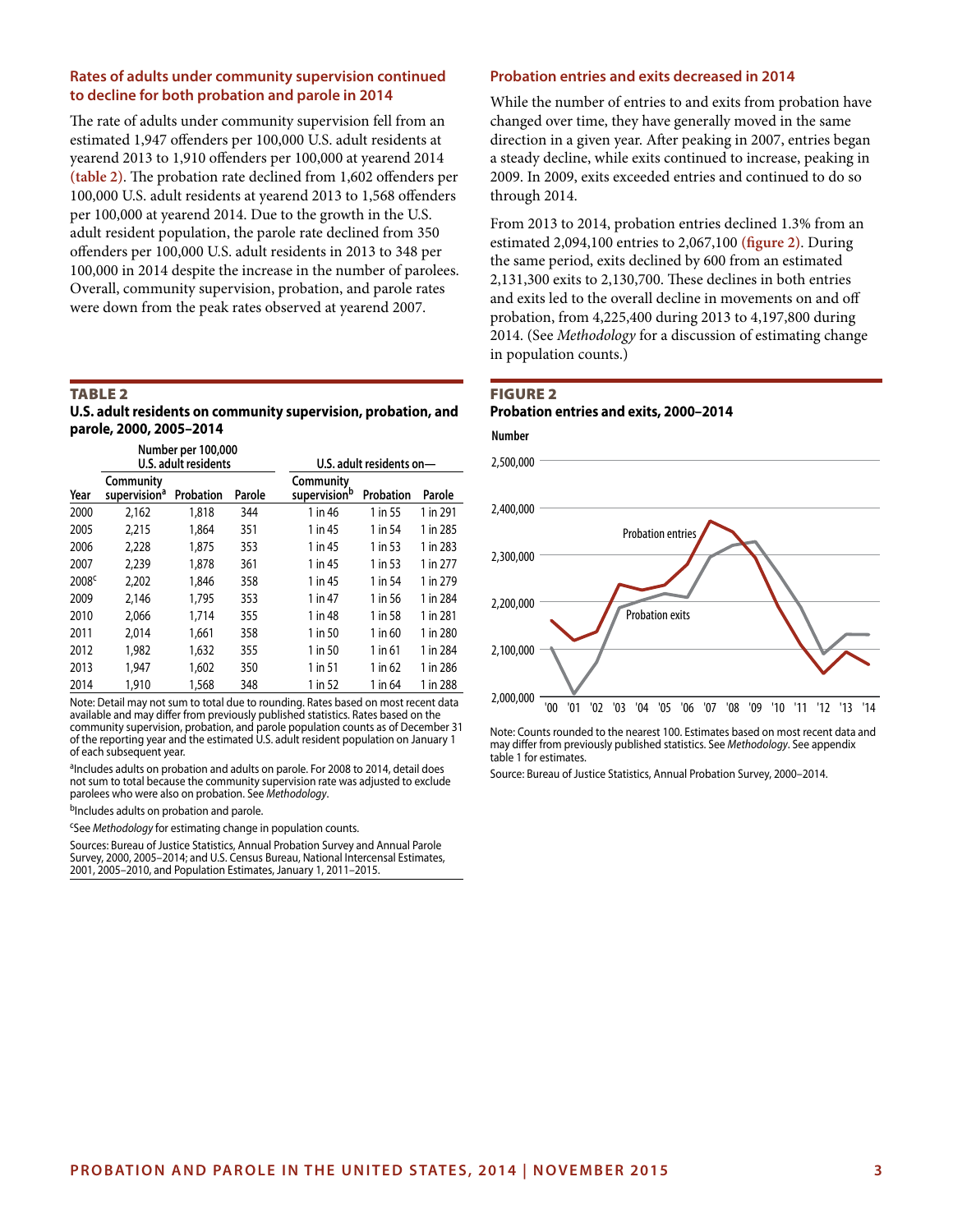#### **Rates of adults under community supervision continued to decline for both probation and parole in 2014**

The rate of adults under community supervision fell from an estimated 1,947 offenders per 100,000 U.S. adult residents at yearend 2013 to 1,910 offenders per 100,000 at yearend 2014 **(table 2)**. The probation rate declined from 1,602 offenders per 100,000 U.S. adult residents at yearend 2013 to 1,568 offenders per 100,000 at yearend 2014. Due to the growth in the U.S. adult resident population, the parole rate declined from 350 offenders per 100,000 U.S. adult residents in 2013 to 348 per 100,000 in 2014 despite the increase in the number of parolees. Overall, community supervision, probation, and parole rates were down from the peak rates observed at yearend 2007.

#### Table 2

| U.S. adult residents on community supervision, probation, and |  |
|---------------------------------------------------------------|--|
| parole, 2000, 2005-2014                                       |  |

| Number per 100,000<br>U.S. adult residents |                                       |           |        | U.S. adult residents on-  |           |          |
|--------------------------------------------|---------------------------------------|-----------|--------|---------------------------|-----------|----------|
| Year                                       | Community<br>supervision <sup>a</sup> | Probation | Parole | Community<br>supervisionb | Probation | Parole   |
| 2000                                       | 2,162                                 | 1,818     | 344    | 1 in 46                   | 1 in 55   | 1 in 291 |
| 2005                                       | 2,215                                 | 1.864     | 351    | 1 in 45                   | 1 in 54   | 1 in 285 |
| 2006                                       | 2,228                                 | 1.875     | 353    | 1 in 45                   | 1 in 53   | 1 in 283 |
| 2007                                       | 2.239                                 | 1,878     | 361    | 1 in 45                   | 1 in 53   | 1 in 277 |
| 2008 <sup>c</sup>                          | 2,202                                 | 1.846     | 358    | 1 in 45                   | 1 in 54   | 1 in 279 |
| 2009                                       | 2.146                                 | 1.795     | 353    | 1 in 47                   | 1 in 56   | 1 in 284 |
| 2010                                       | 2.066                                 | 1.714     | 355    | 1 in 48                   | 1 in 58   | 1 in 281 |
| 2011                                       | 2.014                                 | 1.661     | 358    | 1 in 50                   | 1 in 60   | 1 in 280 |
| 2012                                       | 1,982                                 | 1,632     | 355    | 1 in 50                   | 1 in 61   | 1 in 284 |
| 2013                                       | 1.947                                 | 1.602     | 350    | 1 in 51                   | 1 in 62   | 1 in 286 |
| 2014                                       | 1,910                                 | 1,568     | 348    | 1 in 52                   | 1 in 64   | 1 in 288 |

Note: Detail may not sum to total due to rounding. Rates based on most recent data available and may differ from previously published statistics. Rates based on the community supervision, probation, and parole population counts as of December 31 of the reporting year and the estimated U.S. adult resident population on January 1 of each subsequent year.

<sup>a</sup>Includes adults on probation and adults on parole. For 2008 to 2014, detail does not sum to total because the community supervision rate was adjusted to exclude parolees who were also on probation. See Methodology.

bIncludes adults on probation and parole.

cSee *Methodology* for estimating change in population counts.

Sources: Bureau of Justice Statistics, Annual Probation Survey and Annual Parole Survey, 2000, 2005–2014; and U.S. Census Bureau, National Intercensal Estimates, 2001, 2005–2010, and Population Estimates, January 1, 2011–2015.

#### **Probation entries and exits decreased in 2014**

While the number of entries to and exits from probation have changed over time, they have generally moved in the same direction in a given year. After peaking in 2007, entries began a steady decline, while exits continued to increase, peaking in 2009. In 2009, exits exceeded entries and continued to do so through 2014.

From 2013 to 2014, probation entries declined 1.3% from an estimated 2,094,100 entries to 2,067,100 **(figure 2)**. During the same period, exits declined by 600 from an estimated 2,131,300 exits to 2,130,700. These declines in both entries and exits led to the overall decline in movements on and off probation, from 4,225,400 during 2013 to 4,197,800 during 2014. (See *Methodology* for a discussion of estimating change in population counts.)

#### Figure 2 **Probation entries and exits, 2000–2014**



Note: Counts rounded to the nearest 100. Estimates based on most recent data and may differ from previously published statistics. See *Methodology*. See appendix table 1 for estimates.

Source: Bureau of Justice Statistics, Annual Probation Survey, 2000–2014.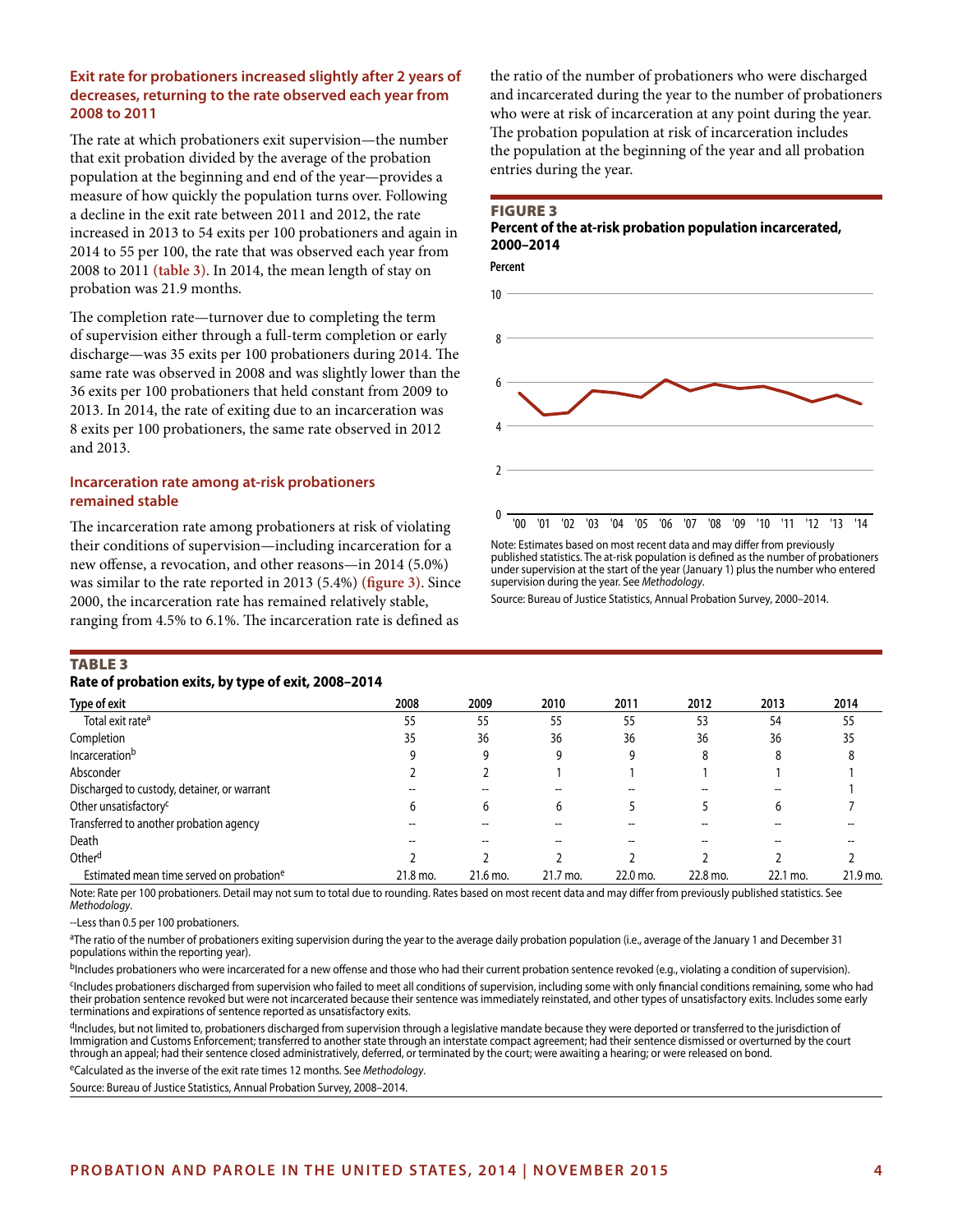#### **Exit rate for probationers increased slightly after 2 years of decreases, returning to the rate observed each year from 2008 to 2011**

The rate at which probationers exit supervision—the number that exit probation divided by the average of the probation population at the beginning and end of the year—provides a measure of how quickly the population turns over. Following a decline in the exit rate between 2011 and 2012, the rate increased in 2013 to 54 exits per 100 probationers and again in 2014 to 55 per 100, the rate that was observed each year from 2008 to 2011 **(table 3)**. In 2014, the mean length of stay on probation was 21.9 months.

The completion rate—turnover due to completing the term of supervision either through a full-term completion or early discharge—was 35 exits per 100 probationers during 2014. The same rate was observed in 2008 and was slightly lower than the 36 exits per 100 probationers that held constant from 2009 to 2013. In 2014, the rate of exiting due to an incarceration was 8 exits per 100 probationers, the same rate observed in 2012 and 2013.

#### **Incarceration rate among at-risk probationers remained stable**

The incarceration rate among probationers at risk of violating their conditions of supervision—including incarceration for a new offense, a revocation, and other reasons—in 2014 (5.0%) was similar to the rate reported in 2013 (5.4%) **(figure 3)**. Since 2000, the incarceration rate has remained relatively stable, ranging from 4.5% to 6.1%. The incarceration rate is defined as

the ratio of the number of probationers who were discharged and incarcerated during the year to the number of probationers who were at risk of incarceration at any point during the year. The probation population at risk of incarceration includes the population at the beginning of the year and all probation entries during the year.

#### Figure 3

#### **Percent of the at-risk probation population incarcerated, 2000–2014**



Note: Estimates based on most recent data and may differ from previously published statistics. The at-risk population is defined as the number of probationers under supervision at the start of the year (January 1) plus the number who entered supervision during the year. See *Methodology*.

Source: Bureau of Justice Statistics, Annual Probation Survey, 2000–2014.

#### **TABLE 3**

#### **Rate of probation exits, by type of exit, 2008–2014**

| $\frac{1}{2}$ and $\frac{1}{2}$ and $\frac{1}{2}$ and $\frac{1}{2}$ and $\frac{1}{2}$ and $\frac{1}{2}$ and $\frac{1}{2}$ |          |          |          |          |          |          |          |
|---------------------------------------------------------------------------------------------------------------------------|----------|----------|----------|----------|----------|----------|----------|
| Type of exit                                                                                                              | 2008     | 2009     | 2010     | 2011     | 2012     | 2013     | 2014     |
| Total exit rate <sup>a</sup>                                                                                              | 55       | 55       | 55       | 55       | 53       | 54       | 55       |
| Completion                                                                                                                | 35       | 36       | 36       | 36       | 36       | 36       | 35       |
| Incarceration <sup>b</sup>                                                                                                |          | q        | q        | 9        | 8        | 8        | 8        |
| Absconder                                                                                                                 |          |          |          |          |          |          |          |
| Discharged to custody, detainer, or warrant                                                                               |          |          |          |          |          |          |          |
| Other unsatisfactory <sup>c</sup>                                                                                         | h        | b        | b        |          |          | 6        |          |
| Transferred to another probation agency                                                                                   |          |          |          |          |          |          |          |
| Death                                                                                                                     |          |          |          |          |          |          |          |
| Other <sup>d</sup>                                                                                                        |          |          |          |          |          |          |          |
| Estimated mean time served on probation <sup>e</sup>                                                                      | 21.8 mo. | 21.6 mo. | 21.7 mo. | 22.0 mo. | 22.8 mo. | 22.1 mo. | 21.9 mo. |

Note: Rate per 100 probationers. Detail may not sum to total due to rounding. Rates based on most recent data and may differ from previously published statistics. See *Methodology*.

--Less than 0.5 per 100 probationers.

<sup>a</sup>The ratio of the number of probationers exiting supervision during the year to the average daily probation population (i.e., average of the January 1 and December 31 populations within the reporting year).

<sup>b</sup>Includes probationers who were incarcerated for a new offense and those who had their current probation sentence revoked (e.g., violating a condition of supervision). <sup>c</sup>Includes probationers discharged from supervision who failed to meet all conditions of supervision, including some with only financial conditions remaining, some who had their probation sentence revoked but were not incarcerated because their sentence was immediately reinstated, and other types of unsatisfactory exits. Includes some early terminations and expirations of sentence reported as unsatisfactory exits.

<sup>d</sup>Includes, but not limited to, probationers discharged from supervision through a legislative mandate because they were deported or transferred to the jurisdiction of Immigration and Customs Enforcement; transferred to another state through an interstate compact agreement; had their sentence dismissed or overturned by the court through an appeal; had their sentence closed administratively, deferred, or terminated by the court; were awaiting a hearing; or were released on bond.

eCalculated as the inverse of the exit rate times 12 months. See *Methodology*.

Source: Bureau of Justice Statistics, Annual Probation Survey, 2008–2014.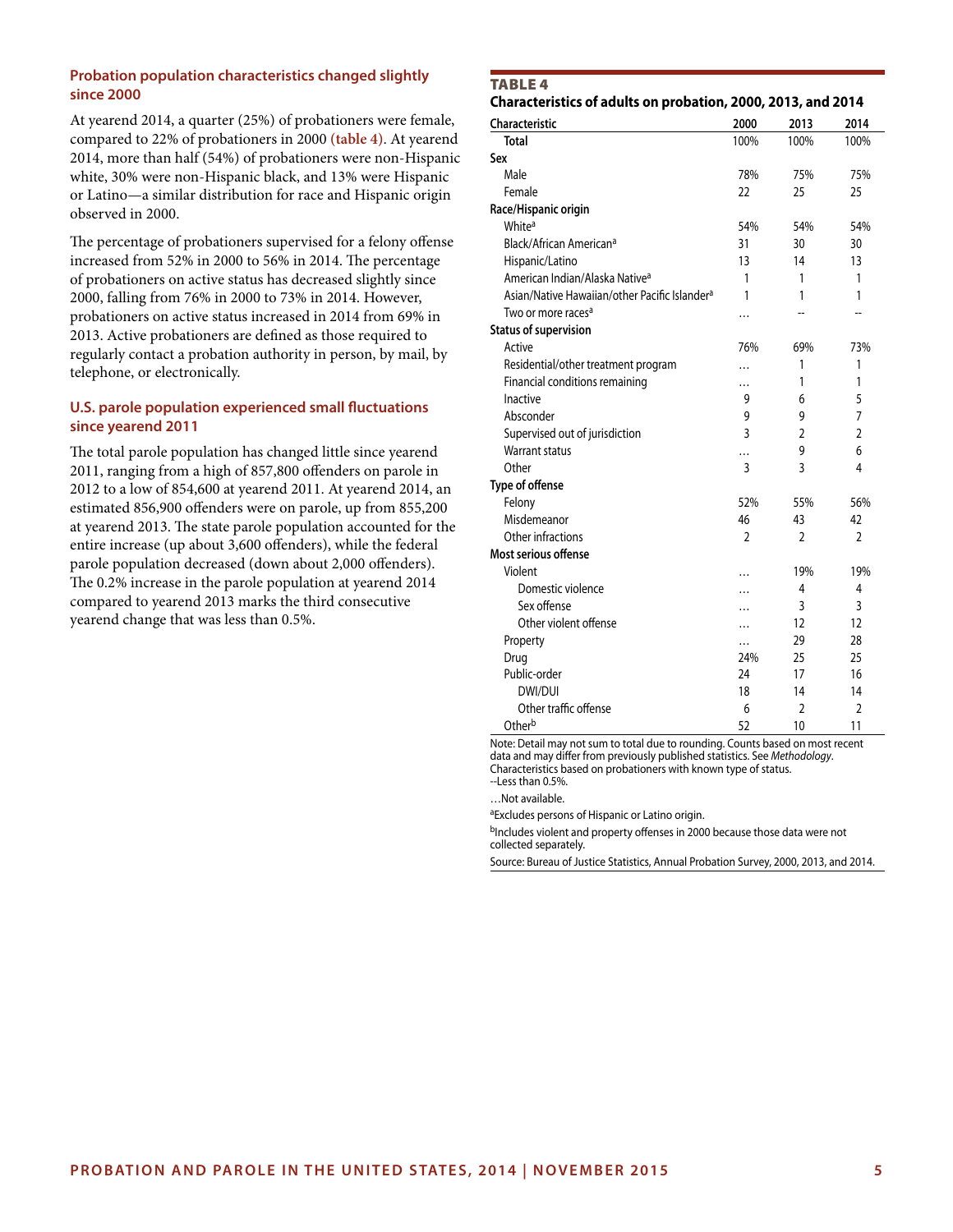#### **Probation population characteristics changed slightly since 2000**

At yearend 2014, a quarter (25%) of probationers were female, compared to 22% of probationers in 2000 **(table 4)**. At yearend 2014, more than half (54%) of probationers were non-Hispanic white, 30% were non-Hispanic black, and 13% were Hispanic or Latino—a similar distribution for race and Hispanic origin observed in 2000.

The percentage of probationers supervised for a felony offense increased from 52% in 2000 to 56% in 2014. The percentage of probationers on active status has decreased slightly since 2000, falling from 76% in 2000 to 73% in 2014. However, probationers on active status increased in 2014 from 69% in 2013. Active probationers are defined as those required to regularly contact a probation authority in person, by mail, by telephone, or electronically.

#### **U.S. parole population experienced small fluctuations since yearend 2011**

The total parole population has changed little since yearend 2011, ranging from a high of 857,800 offenders on parole in 2012 to a low of 854,600 at yearend 2011. At yearend 2014, an estimated 856,900 offenders were on parole, up from 855,200 at yearend 2013. The state parole population accounted for the entire increase (up about 3,600 offenders), while the federal parole population decreased (down about 2,000 offenders). The 0.2% increase in the parole population at yearend 2014 compared to yearend 2013 marks the third consecutive yearend change that was less than 0.5%.

#### **TABLE 4**

#### **Characteristics of adults on probation, 2000, 2013, and 2014**

| Characteristic                                            | 2000      | 2013                     | 2014           |
|-----------------------------------------------------------|-----------|--------------------------|----------------|
| <b>Total</b>                                              | 100%      | 100%                     | 100%           |
| Sex                                                       |           |                          |                |
| Male                                                      | 78%       | 75%                      | 75%            |
| Female                                                    | 22        | 25                       | 25             |
| Race/Hispanic origin                                      |           |                          |                |
| White <sup>a</sup>                                        | 54%       | 54%                      | 54%            |
| Black/African American <sup>a</sup>                       | 31        | 30                       | 30             |
| Hispanic/Latino                                           | 13        | 14                       | 13             |
| American Indian/Alaska Native <sup>a</sup>                | 1         | 1                        | 1              |
| Asian/Native Hawaiian/other Pacific Islander <sup>a</sup> | 1         | 1                        | 1              |
| Two or more races <sup>a</sup>                            | .         |                          | --             |
| <b>Status of supervision</b>                              |           |                          |                |
| Active                                                    | 76%       | 69%                      | 73%            |
| Residential/other treatment program                       | .         | 1                        | 1              |
| Financial conditions remaining                            | $\cdots$  | 1                        | 1              |
| Inactive                                                  | 9         | 6                        | 5              |
| Absconder                                                 | 9         | 9                        | 7              |
| Supervised out of jurisdiction                            | 3         | $\overline{\phantom{a}}$ | $\overline{2}$ |
| <b>Warrant status</b>                                     | .         | 9                        | 6              |
| Other                                                     | 3         | 3                        | 4              |
| Type of offense                                           |           |                          |                |
| Felony                                                    | 52%       | 55%                      | 56%            |
| Misdemeanor                                               | 46        | 43                       | 42             |
| Other infractions                                         | 2         | 2                        | 2              |
| Most serious offense                                      |           |                          |                |
| Violent                                                   |           | 19%                      | 19%            |
| Domestic violence                                         | $\ddotsc$ | 4                        | 4              |
| Sex offense                                               |           | 3                        | 3              |
| Other violent offense                                     | $\ddotsc$ | 12                       | 12             |
| Property                                                  |           | 29                       | 28             |
| Drug                                                      | 24%       | 25                       | 25             |
| Public-order                                              | 24        | 17                       | 16             |
| <b>DWI/DUI</b>                                            | 18        | 14                       | 14             |
| Other traffic offense                                     | 6         | $\overline{2}$           | $\overline{2}$ |
| Otherb                                                    | 52        | 10                       | 11             |

Note: Detail may not sum to total due to rounding. Counts based on most recent data and may differ from previously published statistics. See *Methodology*. Characteristics based on probationers with known type of status.

--Less than 0.5%.

…Not available.

aExcludes persons of Hispanic or Latino origin.

bIncludes violent and property offenses in 2000 because those data were not collected separately.

Source: Bureau of Justice Statistics, Annual Probation Survey, 2000, 2013, and 2014.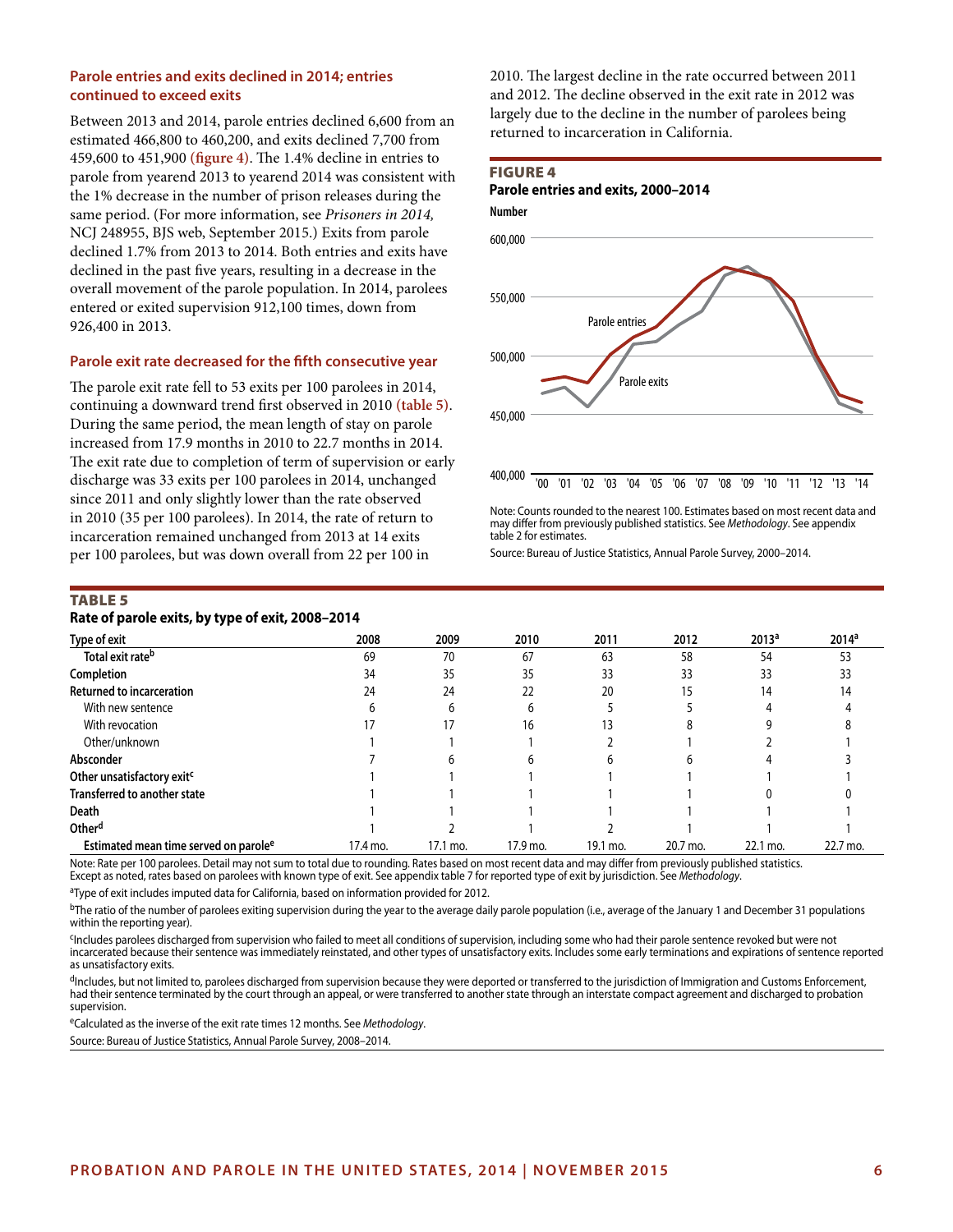#### **Parole entries and exits declined in 2014; entries continued to exceed exits**

Between 2013 and 2014, parole entries declined 6,600 from an estimated 466,800 to 460,200, and exits declined 7,700 from 459,600 to 451,900 **(figure 4)**. The 1.4% decline in entries to parole from yearend 2013 to yearend 2014 was consistent with the 1% decrease in the number of prison releases during the same period. (For more information, see *Prisoners in 2014,* NCJ 248955, BJS web, September 2015.) Exits from parole declined 1.7% from 2013 to 2014. Both entries and exits have declined in the past five years, resulting in a decrease in the overall movement of the parole population. In 2014, parolees entered or exited supervision 912,100 times, down from 926,400 in 2013.

#### **Parole exit rate decreased for the fifth consecutive year**

The parole exit rate fell to 53 exits per 100 parolees in 2014, continuing a downward trend first observed in 2010 **(table 5)**. During the same period, the mean length of stay on parole increased from 17.9 months in 2010 to 22.7 months in 2014. The exit rate due to completion of term of supervision or early discharge was 33 exits per 100 parolees in 2014, unchanged since 2011 and only slightly lower than the rate observed in 2010 (35 per 100 parolees). In 2014, the rate of return to incarceration remained unchanged from 2013 at 14 exits per 100 parolees, but was down overall from 22 per 100 in

2010. The largest decline in the rate occurred between 2011 and 2012. The decline observed in the exit rate in 2012 was largely due to the decline in the number of parolees being returned to incarceration in California.

#### Figure 4





Note: Counts rounded to the nearest 100. Estimates based on most recent data and may differ from previously published statistics. See *Methodology*. See appendix table 2 for estimates.

Source: Bureau of Justice Statistics, Annual Parole Survey, 2000–2014.

#### TABLE<sub>5</sub>

**Rate of parole exits, by type of exit, 2008–2014**

| <b>Type of exit</b>                               | 2008     | 2009     | 2010     | 2011     | 2012     | 2013 <sup>a</sup> | 2014 <sup>a</sup> |
|---------------------------------------------------|----------|----------|----------|----------|----------|-------------------|-------------------|
| Total exit rate <sup>b</sup>                      | 69       | 70       | 67       | 63       | 58       | 54                | 53                |
| Completion                                        | 34       | 35       | 35       | 33       | 33       | 33                | 33                |
| <b>Returned to incarceration</b>                  | 24       | 24       | 22       | 20       | 15       | 14                | 14                |
| With new sentence                                 |          |          | b        |          |          |                   |                   |
| With revocation                                   |          |          | 16       | 13       |          |                   |                   |
| Other/unknown                                     |          |          |          |          |          |                   |                   |
| Absconder                                         |          |          |          |          |          |                   |                   |
| Other unsatisfactory exit <sup>c</sup>            |          |          |          |          |          |                   |                   |
| <b>Transferred to another state</b>               |          |          |          |          |          |                   |                   |
| <b>Death</b>                                      |          |          |          |          |          |                   |                   |
| Other <sup>d</sup>                                |          |          |          |          |          |                   |                   |
| Estimated mean time served on parole <sup>e</sup> | 17.4 mo. | 17.1 mo. | 17.9 mo. | 19.1 mo. | 20.7 mo. | 22.1 mo.          | 22.7 mo.          |

Note: Rate per 100 parolees. Detail may not sum to total due to rounding. Rates based on most recent data and may differ from previously published statistics.

Except as noted, rates based on parolees with known type of exit. See appendix table 7 for reported type of exit by jurisdiction. See *Methodology*.

<sup>a</sup>Type of exit includes imputed data for California, based on information provided for 2012.

<sup>b</sup>The ratio of the number of parolees exiting supervision during the year to the average daily parole population (i.e., average of the January 1 and December 31 populations within the reporting year).

cIncludes parolees discharged from supervision who failed to meet all conditions of supervision, including some who had their parole sentence revoked but were not incarcerated because their sentence was immediately reinstated, and other types of unsatisfactory exits. Includes some early terminations and expirations of sentence reported as unsatisfactory exits.

<sup>d</sup>Includes, but not limited to, parolees discharged from supervision because they were deported or transferred to the jurisdiction of Immigration and Customs Enforcement, had their sentence terminated by the court through an appeal, or were transferred to another state through an interstate compact agreement and discharged to probation supervision.

eCalculated as the inverse of the exit rate times 12 months. See *Methodology*.

Source: Bureau of Justice Statistics, Annual Parole Survey, 2008–2014.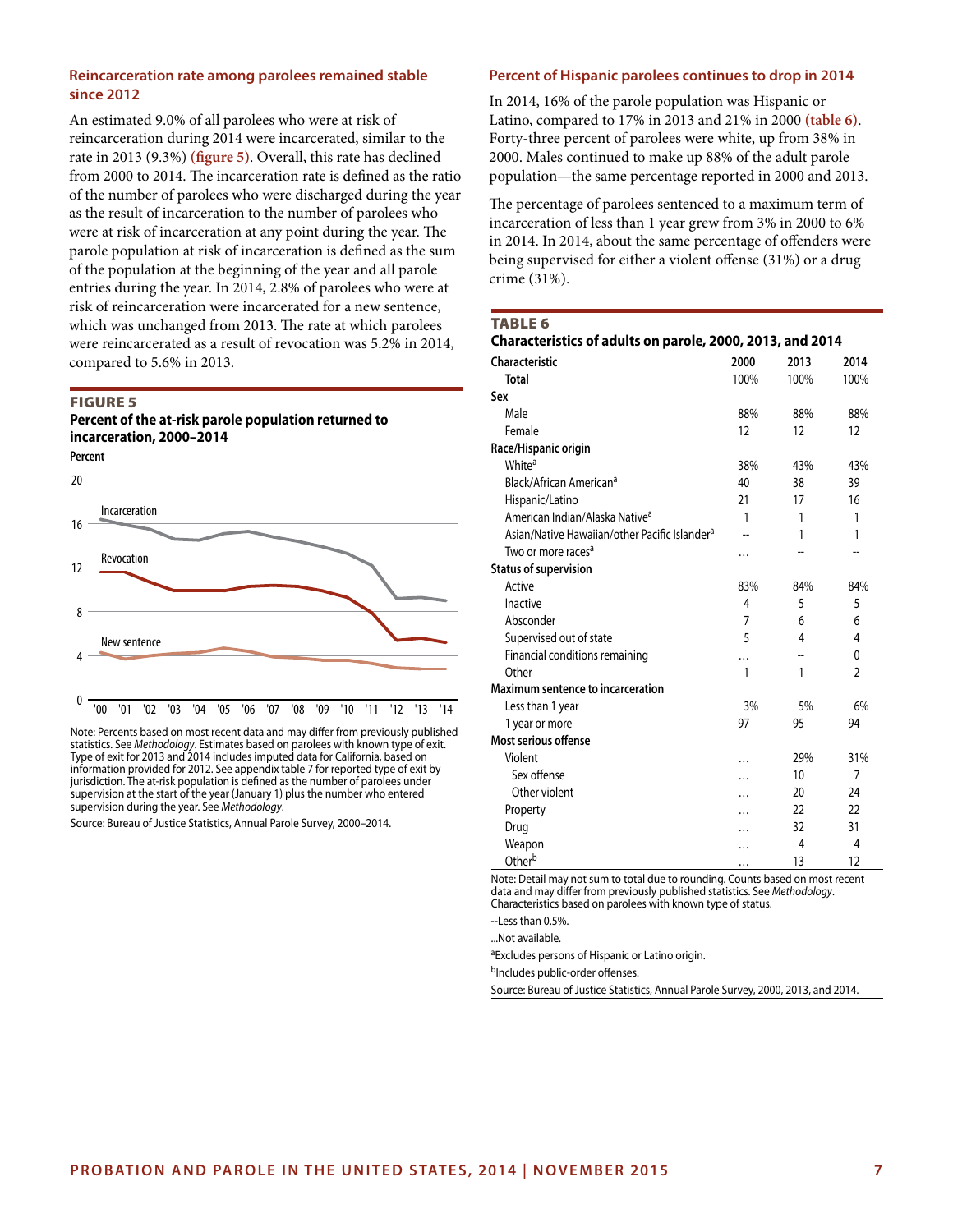#### **Reincarceration rate among parolees remained stable since 2012**

An estimated 9.0% of all parolees who were at risk of reincarceration during 2014 were incarcerated, similar to the rate in 2013 (9.3%) **(figure 5)**. Overall, this rate has declined from 2000 to 2014. The incarceration rate is defined as the ratio of the number of parolees who were discharged during the year as the result of incarceration to the number of parolees who were at risk of incarceration at any point during the year. The parole population at risk of incarceration is defined as the sum of the population at the beginning of the year and all parole entries during the year. In 2014, 2.8% of parolees who were at risk of reincarceration were incarcerated for a new sentence, which was unchanged from 2013. The rate at which parolees were reincarcerated as a result of revocation was 5.2% in 2014, compared to 5.6% in 2013.

#### Figure 5

#### **Percent of the at-risk parole population returned to incarceration, 2000–2014 Percent**



Note: Percents based on most recent data and may differ from previously published statistics. See *Methodology*. Estimates based on parolees with known type of exit. Type of exit for 2013 and 2014 includes imputed data for California, based on information provided for 2012. See appendix table 7 for reported type of exit by jurisdiction. The at-risk population is defined as the number of parolees under supervision at the start of the year (January 1) plus the number who entered supervision during the year. See *Methodology*.

Source: Bureau of Justice Statistics, Annual Parole Survey, 2000–2014.

#### **Percent of Hispanic parolees continues to drop in 2014**

In 2014, 16% of the parole population was Hispanic or Latino, compared to 17% in 2013 and 21% in 2000 **(table 6)**. Forty-three percent of parolees were white, up from 38% in 2000. Males continued to make up 88% of the adult parole population—the same percentage reported in 2000 and 2013.

The percentage of parolees sentenced to a maximum term of incarceration of less than 1 year grew from 3% in 2000 to 6% in 2014. In 2014, about the same percentage of offenders were being supervised for either a violent offense (31%) or a drug crime (31%).

#### Table 6

| <b>Characteristic</b>                                     | 2000           | 2013 | 2014           |
|-----------------------------------------------------------|----------------|------|----------------|
| <b>Total</b>                                              | 100%           | 100% | 100%           |
| Sex                                                       |                |      |                |
| Male                                                      | 88%            | 88%  | 88%            |
| Female                                                    | 12             | 12   | 12             |
| Race/Hispanic origin                                      |                |      |                |
| White <sup>a</sup>                                        | 38%            | 43%  | 43%            |
| Black/African American <sup>a</sup>                       | 40             | 38   | 39             |
| Hispanic/Latino                                           | 21             | 17   | 16             |
| American Indian/Alaska Native <sup>a</sup>                | 1              | 1    | 1              |
| Asian/Native Hawaiian/other Pacific Islander <sup>a</sup> |                | 1    | 1              |
| Two or more races <sup>a</sup>                            | .              |      |                |
| <b>Status of supervision</b>                              |                |      |                |
| Active                                                    | 83%            | 84%  | 84%            |
| Inactive                                                  | $\overline{4}$ | 5    | 5              |
| Absconder                                                 | $\overline{7}$ | 6    | 6              |
| Supervised out of state                                   | 5              | 4    | 4              |
| Financial conditions remaining                            |                |      | 0              |
| Other                                                     | 1              | 1    | $\mathfrak{p}$ |
| Maximum sentence to incarceration                         |                |      |                |
| Less than 1 year                                          | 3%             | 5%   | 6%             |
| 1 year or more                                            | 97             | 95   | 94             |
| Most serious offense                                      |                |      |                |
| Violent                                                   | .              | 29%  | 31%            |
| Sex offense                                               | .              | 10   | 7              |
| Other violent                                             | .              | 20   | 24             |
| Property                                                  | $\cdots$       | 22   | 22             |
| Drug                                                      | .              | 32   | 31             |
| Weapon                                                    | .              | 4    | 4              |
| Otherb                                                    |                | 13   | 12             |

Note: Detail may not sum to total due to rounding. Counts based on most recent data and may differ from previously published statistics. See *Methodology*. Characteristics based on parolees with known type of status.

--Less than 0.5%.

...Not available.

aExcludes persons of Hispanic or Latino origin.

bIncludes public-order offenses.

Source: Bureau of Justice Statistics, Annual Parole Survey, 2000, 2013, and 2014.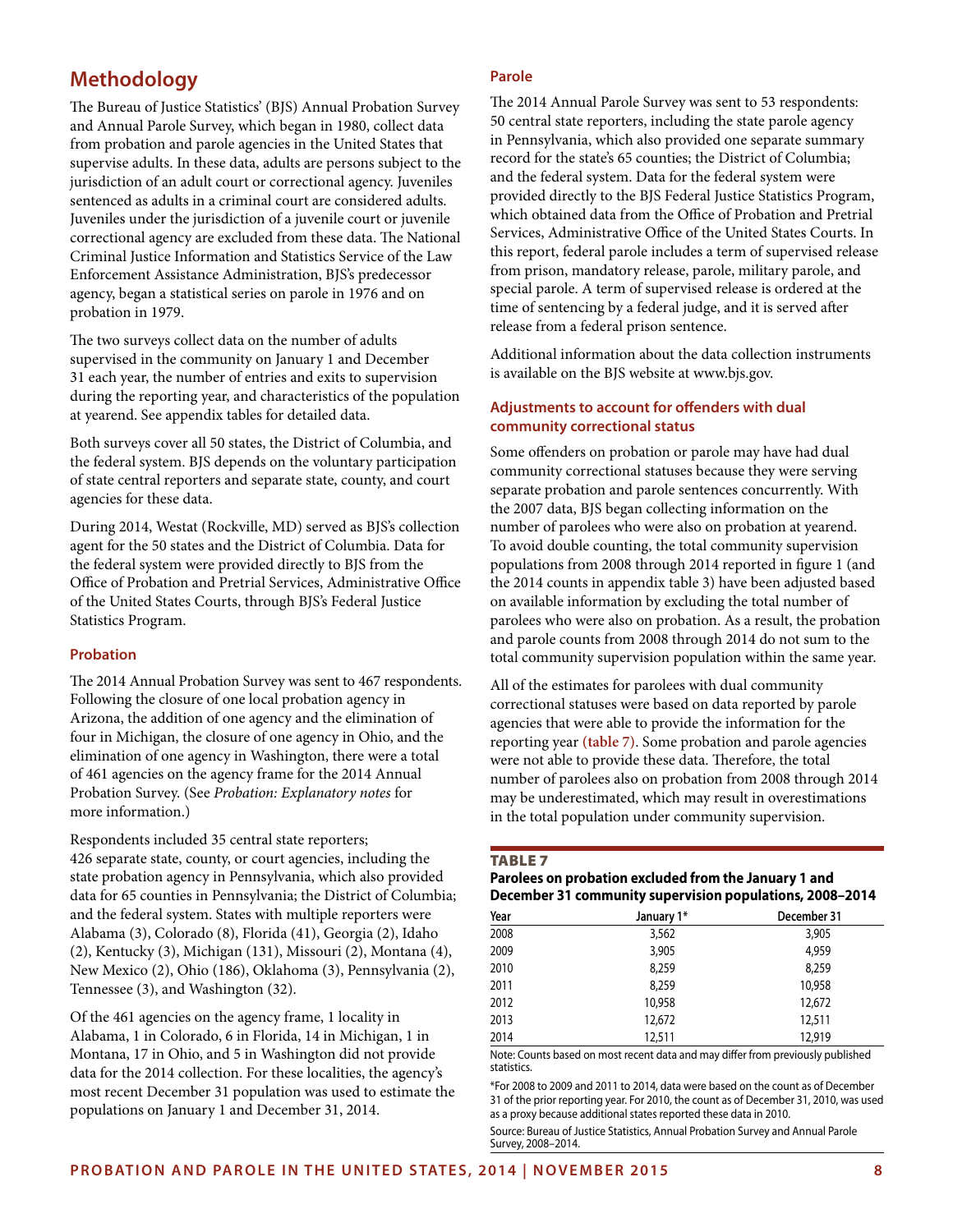## **Methodology**

The Bureau of Justice Statistics' (BJS) Annual Probation Survey and Annual Parole Survey, which began in 1980, collect data from probation and parole agencies in the United States that supervise adults. In these data, adults are persons subject to the jurisdiction of an adult court or correctional agency. Juveniles sentenced as adults in a criminal court are considered adults. Juveniles under the jurisdiction of a juvenile court or juvenile correctional agency are excluded from these data. The National Criminal Justice Information and Statistics Service of the Law Enforcement Assistance Administration, BJS's predecessor agency, began a statistical series on parole in 1976 and on probation in 1979.

The two surveys collect data on the number of adults supervised in the community on January 1 and December 31 each year, the number of entries and exits to supervision during the reporting year, and characteristics of the population at yearend. See appendix tables for detailed data.

Both surveys cover all 50 states, the District of Columbia, and the federal system. BJS depends on the voluntary participation of state central reporters and separate state, county, and court agencies for these data.

During 2014, Westat (Rockville, MD) served as BJS's collection agent for the 50 states and the District of Columbia. Data for the federal system were provided directly to BJS from the Office of Probation and Pretrial Services, Administrative Office of the United States Courts, through BJS's Federal Justice Statistics Program.

#### **Probation**

The 2014 Annual Probation Survey was sent to 467 respondents. Following the closure of one local probation agency in Arizona, the addition of one agency and the elimination of four in Michigan, the closure of one agency in Ohio, and the elimination of one agency in Washington, there were a total of 461 agencies on the agency frame for the 2014 Annual Probation Survey. (See *Probation: Explanatory notes* for more information.)

Respondents included 35 central state reporters; 426 separate state, county, or court agencies, including the state probation agency in Pennsylvania, which also provided data for 65 counties in Pennsylvania; the District of Columbia; and the federal system. States with multiple reporters were Alabama (3), Colorado (8), Florida (41), Georgia (2), Idaho (2), Kentucky (3), Michigan (131), Missouri (2), Montana (4), New Mexico (2), Ohio (186), Oklahoma (3), Pennsylvania (2), Tennessee (3), and Washington (32).

Of the 461 agencies on the agency frame, 1 locality in Alabama, 1 in Colorado, 6 in Florida, 14 in Michigan, 1 in Montana, 17 in Ohio, and 5 in Washington did not provide data for the 2014 collection. For these localities, the agency's most recent December 31 population was used to estimate the populations on January 1 and December 31, 2014.

#### **Parole**

The 2014 Annual Parole Survey was sent to 53 respondents: 50 central state reporters, including the state parole agency in Pennsylvania, which also provided one separate summary record for the state's 65 counties; the District of Columbia; and the federal system. Data for the federal system were provided directly to the BJS Federal Justice Statistics Program, which obtained data from the Office of Probation and Pretrial Services, Administrative Office of the United States Courts. In this report, federal parole includes a term of supervised release from prison, mandatory release, parole, military parole, and special parole. A term of supervised release is ordered at the time of sentencing by a federal judge, and it is served after release from a federal prison sentence.

Additional information about the data collection instruments is available on the BJS website at www.bjs.gov.

#### **Adjustments to account for offenders with dual community correctional status**

Some offenders on probation or parole may have had dual community correctional statuses because they were serving separate probation and parole sentences concurrently. With the 2007 data, BJS began collecting information on the number of parolees who were also on probation at yearend. To avoid double counting, the total community supervision populations from 2008 through 2014 reported in figure 1 (and the 2014 counts in appendix table 3) have been adjusted based on available information by excluding the total number of parolees who were also on probation. As a result, the probation and parole counts from 2008 through 2014 do not sum to the total community supervision population within the same year.

All of the estimates for parolees with dual community correctional statuses were based on data reported by parole agencies that were able to provide the information for the reporting year **(table 7)**. Some probation and parole agencies were not able to provide these data. Therefore, the total number of parolees also on probation from 2008 through 2014 may be underestimated, which may result in overestimations in the total population under community supervision.

#### Table 7

#### **Parolees on probation excluded from the January 1 and December 31 community supervision populations, 2008–2014**

| Year | January 1* | December 31 |
|------|------------|-------------|
| 2008 | 3,562      | 3,905       |
| 2009 | 3,905      | 4,959       |
| 2010 | 8,259      | 8,259       |
| 2011 | 8,259      | 10,958      |
| 2012 | 10,958     | 12,672      |
| 2013 | 12,672     | 12,511      |
| 2014 | 12,511     | 12,919      |

Note: Counts based on most recent data and may differ from previously published statistics.

\*For 2008 to 2009 and 2011 to 2014, data were based on the count as of December 31 of the prior reporting year. For 2010, the count as of December 31, 2010, was used as a proxy because additional states reported these data in 2010.

Source: Bureau of Justice Statistics, Annual Probation Survey and Annual Parole Survey, 2008–2014.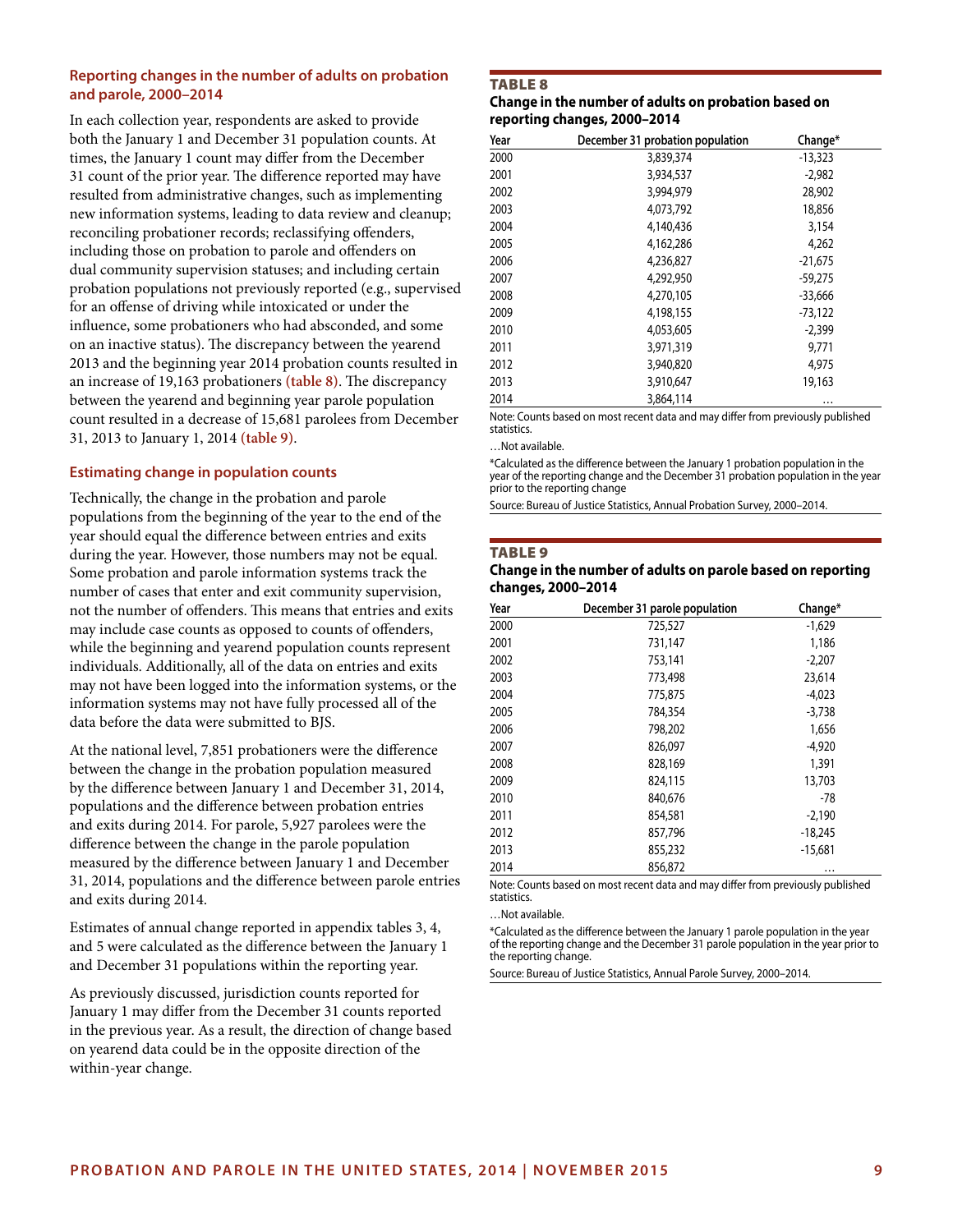#### **Reporting changes in the number of adults on probation and parole, 2000–2014**

In each collection year, respondents are asked to provide both the January 1 and December 31 population counts. At times, the January 1 count may differ from the December 31 count of the prior year. The difference reported may have resulted from administrative changes, such as implementing new information systems, leading to data review and cleanup; reconciling probationer records; reclassifying offenders, including those on probation to parole and offenders on dual community supervision statuses; and including certain probation populations not previously reported (e.g., supervised for an offense of driving while intoxicated or under the influence, some probationers who had absconded, and some on an inactive status). The discrepancy between the yearend 2013 and the beginning year 2014 probation counts resulted in an increase of 19,163 probationers **(table 8)**. The discrepancy between the yearend and beginning year parole population count resulted in a decrease of 15,681 parolees from December 31, 2013 to January 1, 2014 **(table 9)**.

#### **Estimating change in population counts**

Technically, the change in the probation and parole populations from the beginning of the year to the end of the year should equal the difference between entries and exits during the year. However, those numbers may not be equal. Some probation and parole information systems track the number of cases that enter and exit community supervision, not the number of offenders. This means that entries and exits may include case counts as opposed to counts of offenders, while the beginning and yearend population counts represent individuals. Additionally, all of the data on entries and exits may not have been logged into the information systems, or the information systems may not have fully processed all of the data before the data were submitted to BJS.

At the national level, 7,851 probationers were the difference between the change in the probation population measured by the difference between January 1 and December 31, 2014, populations and the difference between probation entries and exits during 2014. For parole, 5,927 parolees were the difference between the change in the parole population measured by the difference between January 1 and December 31, 2014, populations and the difference between parole entries and exits during 2014.

Estimates of annual change reported in appendix tables 3, 4, and 5 were calculated as the difference between the January 1 and December 31 populations within the reporting year.

As previously discussed, jurisdiction counts reported for January 1 may differ from the December 31 counts reported in the previous year. As a result, the direction of change based on yearend data could be in the opposite direction of the within-year change.

#### **TABLE 8**

| Change in the number of adults on probation based on |  |  |
|------------------------------------------------------|--|--|
| reporting changes, 2000–2014                         |  |  |

| Year | December 31 probation population | Change*   |  |
|------|----------------------------------|-----------|--|
| 2000 | 3,839,374                        | $-13,323$ |  |
| 2001 | 3,934,537                        | $-2,982$  |  |
| 2002 | 3,994,979                        | 28,902    |  |
| 2003 | 4,073,792                        | 18,856    |  |
| 2004 | 4,140,436                        | 3,154     |  |
| 2005 | 4,162,286                        | 4,262     |  |
| 2006 | 4,236,827                        | $-21,675$ |  |
| 2007 | 4,292,950                        | $-59,275$ |  |
| 2008 | 4,270,105                        | $-33,666$ |  |
| 2009 | 4,198,155                        | $-73,122$ |  |
| 2010 | 4,053,605                        | $-2,399$  |  |
| 2011 | 3,971,319                        | 9,771     |  |
| 2012 | 3,940,820                        | 4,975     |  |
| 2013 | 3,910,647                        | 19,163    |  |
| 2014 | 3,864,114                        | $\cdots$  |  |

Note: Counts based on most recent data and may differ from previously published statistics.

…Not available.

\*Calculated as the difference between the January 1 probation population in the year of the reporting change and the December 31 probation population in the year prior to the reporting change

Source: Bureau of Justice Statistics, Annual Probation Survey, 2000–2014.

#### Table 9

#### **Change in the number of adults on parole based on reporting changes, 2000–2014**

| Year | December 31 parole population | Change*   |
|------|-------------------------------|-----------|
| 2000 | 725,527                       | $-1,629$  |
| 2001 | 731,147                       | 1,186     |
| 2002 | 753,141                       | $-2,207$  |
| 2003 | 773,498                       | 23,614    |
| 2004 | 775,875                       | $-4,023$  |
| 2005 | 784,354                       | $-3,738$  |
| 2006 | 798,202                       | 1,656     |
| 2007 | 826,097                       | $-4,920$  |
| 2008 | 828,169                       | 1,391     |
| 2009 | 824,115                       | 13,703    |
| 2010 | 840,676                       | -78       |
| 2011 | 854,581                       | $-2,190$  |
| 2012 | 857,796                       | $-18,245$ |
| 2013 | 855,232                       | $-15,681$ |
| 2014 | 856,872                       | $\cdots$  |

Note: Counts based on most recent data and may differ from previously published statistics.

…Not available.

\*Calculated as the difference between the January 1 parole population in the year of the reporting change and the December 31 parole population in the year prior to the reporting change.

Source: Bureau of Justice Statistics, Annual Parole Survey, 2000–2014.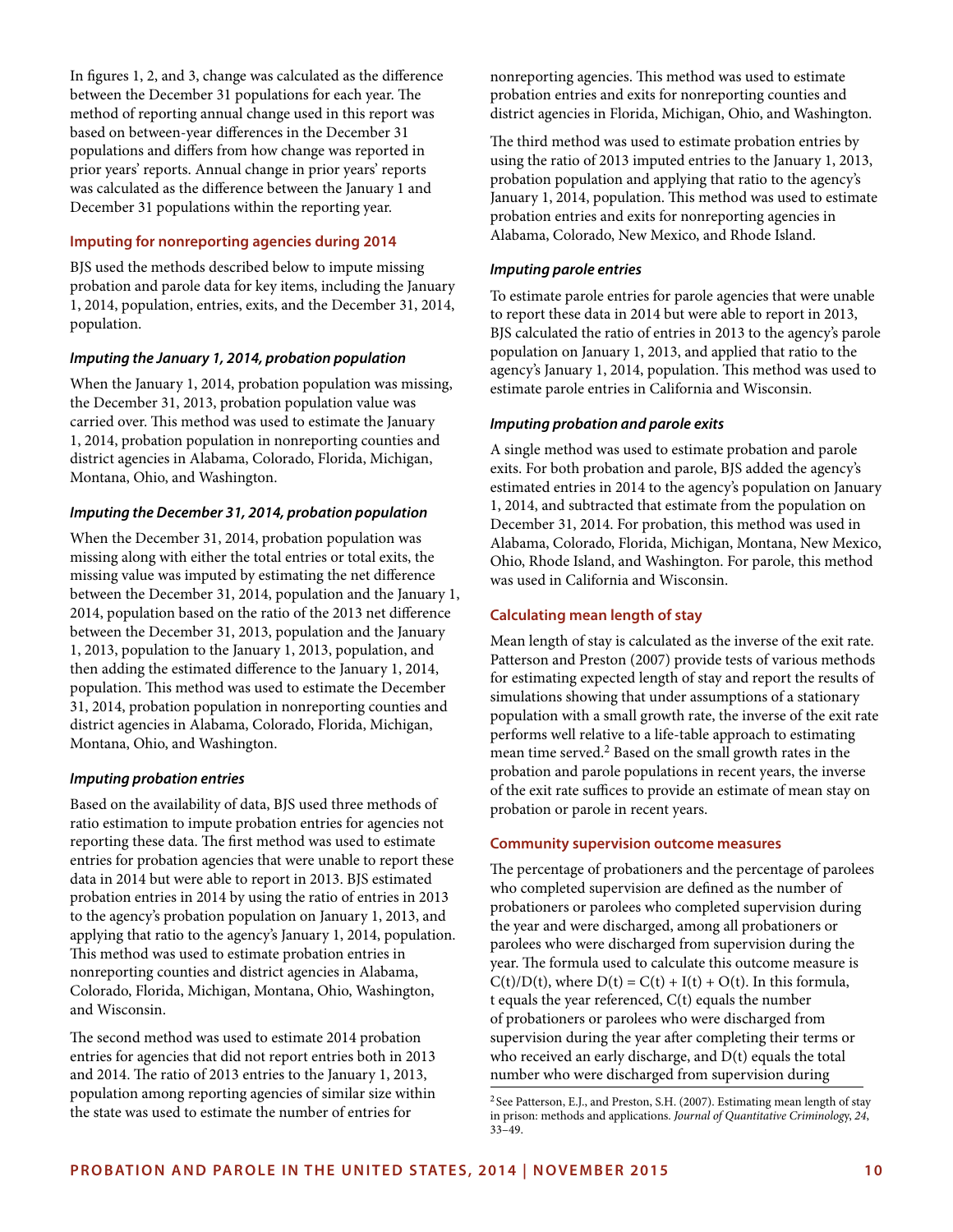In figures 1, 2, and 3, change was calculated as the difference between the December 31 populations for each year. The method of reporting annual change used in this report was based on between-year differences in the December 31 populations and differs from how change was reported in prior years' reports. Annual change in prior years' reports was calculated as the difference between the January 1 and December 31 populations within the reporting year.

#### **Imputing for nonreporting agencies during 2014**

BJS used the methods described below to impute missing probation and parole data for key items, including the January 1, 2014, population, entries, exits, and the December 31, 2014, population.

#### *Imputing the January 1, 2014, probation population*

When the January 1, 2014, probation population was missing, the December 31, 2013, probation population value was carried over. This method was used to estimate the January 1, 2014, probation population in nonreporting counties and district agencies in Alabama, Colorado, Florida, Michigan, Montana, Ohio, and Washington.

#### *Imputing the December 31, 2014, probation population*

When the December 31, 2014, probation population was missing along with either the total entries or total exits, the missing value was imputed by estimating the net difference between the December 31, 2014, population and the January 1, 2014, population based on the ratio of the 2013 net difference between the December 31, 2013, population and the January 1, 2013, population to the January 1, 2013, population, and then adding the estimated difference to the January 1, 2014, population. This method was used to estimate the December 31, 2014, probation population in nonreporting counties and district agencies in Alabama, Colorado, Florida, Michigan, Montana, Ohio, and Washington.

#### *Imputing probation entries*

Based on the availability of data, BJS used three methods of ratio estimation to impute probation entries for agencies not reporting these data. The first method was used to estimate entries for probation agencies that were unable to report these data in 2014 but were able to report in 2013. BJS estimated probation entries in 2014 by using the ratio of entries in 2013 to the agency's probation population on January 1, 2013, and applying that ratio to the agency's January 1, 2014, population. This method was used to estimate probation entries in nonreporting counties and district agencies in Alabama, Colorado, Florida, Michigan, Montana, Ohio, Washington, and Wisconsin.

The second method was used to estimate 2014 probation entries for agencies that did not report entries both in 2013 and 2014. The ratio of 2013 entries to the January 1, 2013, population among reporting agencies of similar size within the state was used to estimate the number of entries for

nonreporting agencies. This method was used to estimate probation entries and exits for nonreporting counties and district agencies in Florida, Michigan, Ohio, and Washington.

The third method was used to estimate probation entries by using the ratio of 2013 imputed entries to the January 1, 2013, probation population and applying that ratio to the agency's January 1, 2014, population. This method was used to estimate probation entries and exits for nonreporting agencies in Alabama, Colorado, New Mexico, and Rhode Island.

#### *Imputing parole entries*

To estimate parole entries for parole agencies that were unable to report these data in 2014 but were able to report in 2013, BJS calculated the ratio of entries in 2013 to the agency's parole population on January 1, 2013, and applied that ratio to the agency's January 1, 2014, population. This method was used to estimate parole entries in California and Wisconsin.

#### *Imputing probation and parole exits*

A single method was used to estimate probation and parole exits. For both probation and parole, BJS added the agency's estimated entries in 2014 to the agency's population on January 1, 2014, and subtracted that estimate from the population on December 31, 2014. For probation, this method was used in Alabama, Colorado, Florida, Michigan, Montana, New Mexico, Ohio, Rhode Island, and Washington. For parole, this method was used in California and Wisconsin.

#### **Calculating mean length of stay**

Mean length of stay is calculated as the inverse of the exit rate. Patterson and Preston (2007) provide tests of various methods for estimating expected length of stay and report the results of simulations showing that under assumptions of a stationary population with a small growth rate, the inverse of the exit rate performs well relative to a life-table approach to estimating mean time served.<sup>2</sup> Based on the small growth rates in the probation and parole populations in recent years, the inverse of the exit rate suffices to provide an estimate of mean stay on probation or parole in recent years.

#### **Community supervision outcome measures**

The percentage of probationers and the percentage of parolees who completed supervision are defined as the number of probationers or parolees who completed supervision during the year and were discharged, among all probationers or parolees who were discharged from supervision during the year. The formula used to calculate this outcome measure is  $C(t)/D(t)$ , where  $D(t) = C(t) + I(t) + O(t)$ . In this formula, t equals the year referenced, C(t) equals the number of probationers or parolees who were discharged from supervision during the year after completing their terms or who received an early discharge, and D(t) equals the total number who were discharged from supervision during

<sup>2</sup> See Patterson, E.J., and Preston, S.H. (2007). Estimating mean length of stay in prison: methods and applications. *Journal of Quantitative Criminolog*y, *24*, 33–49.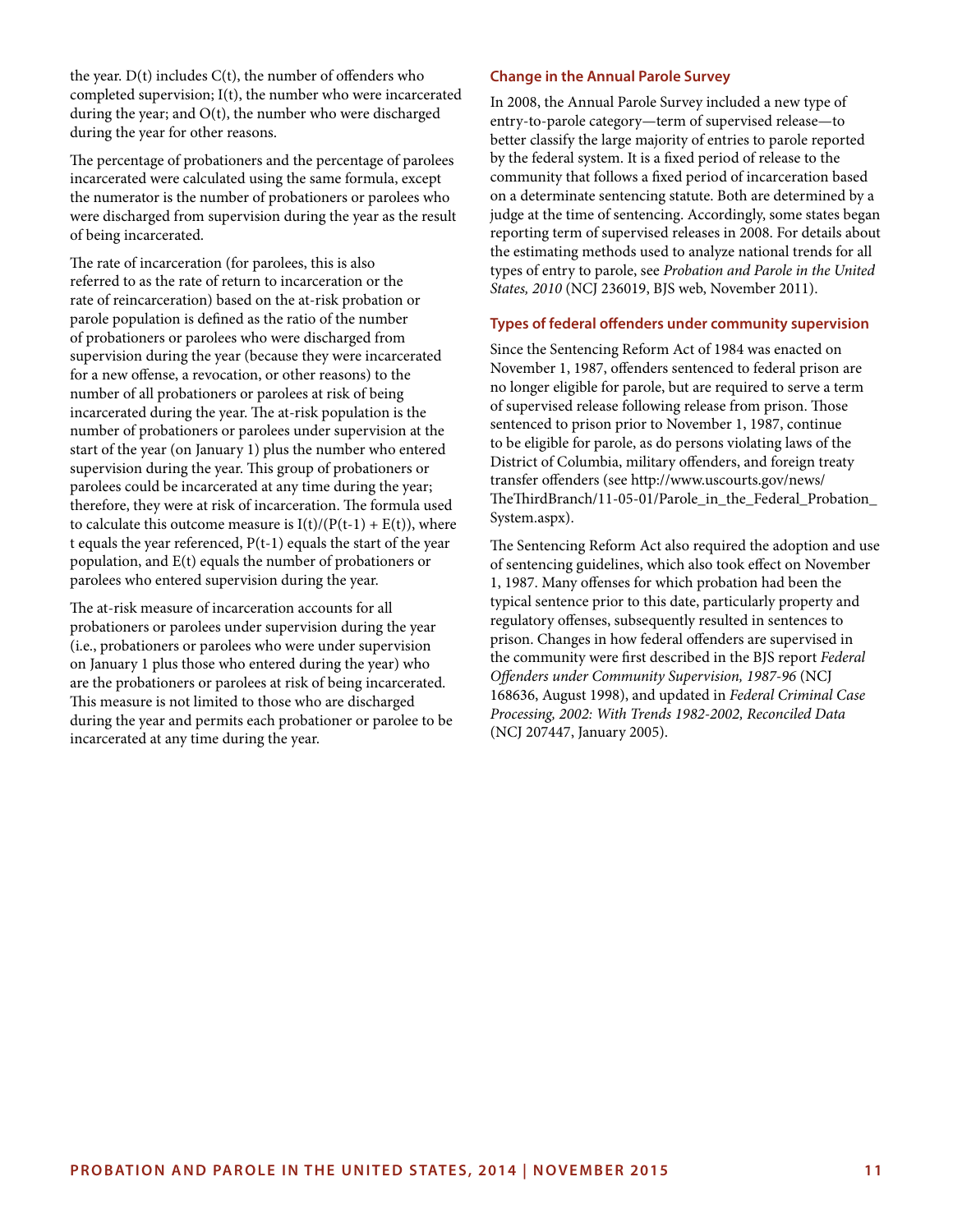the year.  $D(t)$  includes  $C(t)$ , the number of offenders who completed supervision; I(t), the number who were incarcerated during the year; and  $O(t)$ , the number who were discharged during the year for other reasons.

The percentage of probationers and the percentage of parolees incarcerated were calculated using the same formula, except the numerator is the number of probationers or parolees who were discharged from supervision during the year as the result of being incarcerated.

The rate of incarceration (for parolees, this is also referred to as the rate of return to incarceration or the rate of reincarceration) based on the at-risk probation or parole population is defined as the ratio of the number of probationers or parolees who were discharged from supervision during the year (because they were incarcerated for a new offense, a revocation, or other reasons) to the number of all probationers or parolees at risk of being incarcerated during the year. The at-risk population is the number of probationers or parolees under supervision at the start of the year (on January 1) plus the number who entered supervision during the year. This group of probationers or parolees could be incarcerated at any time during the year; therefore, they were at risk of incarceration. The formula used to calculate this outcome measure is  $I(t)/(P(t-1) + E(t))$ , where t equals the year referenced,  $P(t-1)$  equals the start of the year population, and E(t) equals the number of probationers or parolees who entered supervision during the year.

The at-risk measure of incarceration accounts for all probationers or parolees under supervision during the year (i.e., probationers or parolees who were under supervision on January 1 plus those who entered during the year) who are the probationers or parolees at risk of being incarcerated. This measure is not limited to those who are discharged during the year and permits each probationer or parolee to be incarcerated at any time during the year.

#### **Change in the Annual Parole Survey**

In 2008, the Annual Parole Survey included a new type of entry-to-parole category—term of supervised release—to better classify the large majority of entries to parole reported by the federal system. It is a fixed period of release to the community that follows a fixed period of incarceration based on a determinate sentencing statute. Both are determined by a judge at the time of sentencing. Accordingly, some states began reporting term of supervised releases in 2008. For details about the estimating methods used to analyze national trends for all types of entry to parole, see *Probation and Parole in the United States, 2010* (NCJ 236019, BJS web, November 2011).

#### **Types of federal offenders under community supervision**

Since the Sentencing Reform Act of 1984 was enacted on November 1, 1987, offenders sentenced to federal prison are no longer eligible for parole, but are required to serve a term of supervised release following release from prison. Those sentenced to prison prior to November 1, 1987, continue to be eligible for parole, as do persons violating laws of the District of Columbia, military offenders, and foreign treaty transfer offenders (see http://www.uscourts.gov/news/ TheThirdBranch/11-05-01/Parole\_in\_the\_Federal\_Probation\_ System.aspx).

The Sentencing Reform Act also required the adoption and use of sentencing guidelines, which also took effect on November 1, 1987. Many offenses for which probation had been the typical sentence prior to this date, particularly property and regulatory offenses, subsequently resulted in sentences to prison. Changes in how federal offenders are supervised in the community were first described in the BJS report *Federal Offenders under Community Supervision, 1987-96* (NCJ 168636, August 1998), and updated in *Federal Criminal Case Processing, 2002: With Trends 1982-2002, Reconciled Data*  (NCJ 207447, January 2005).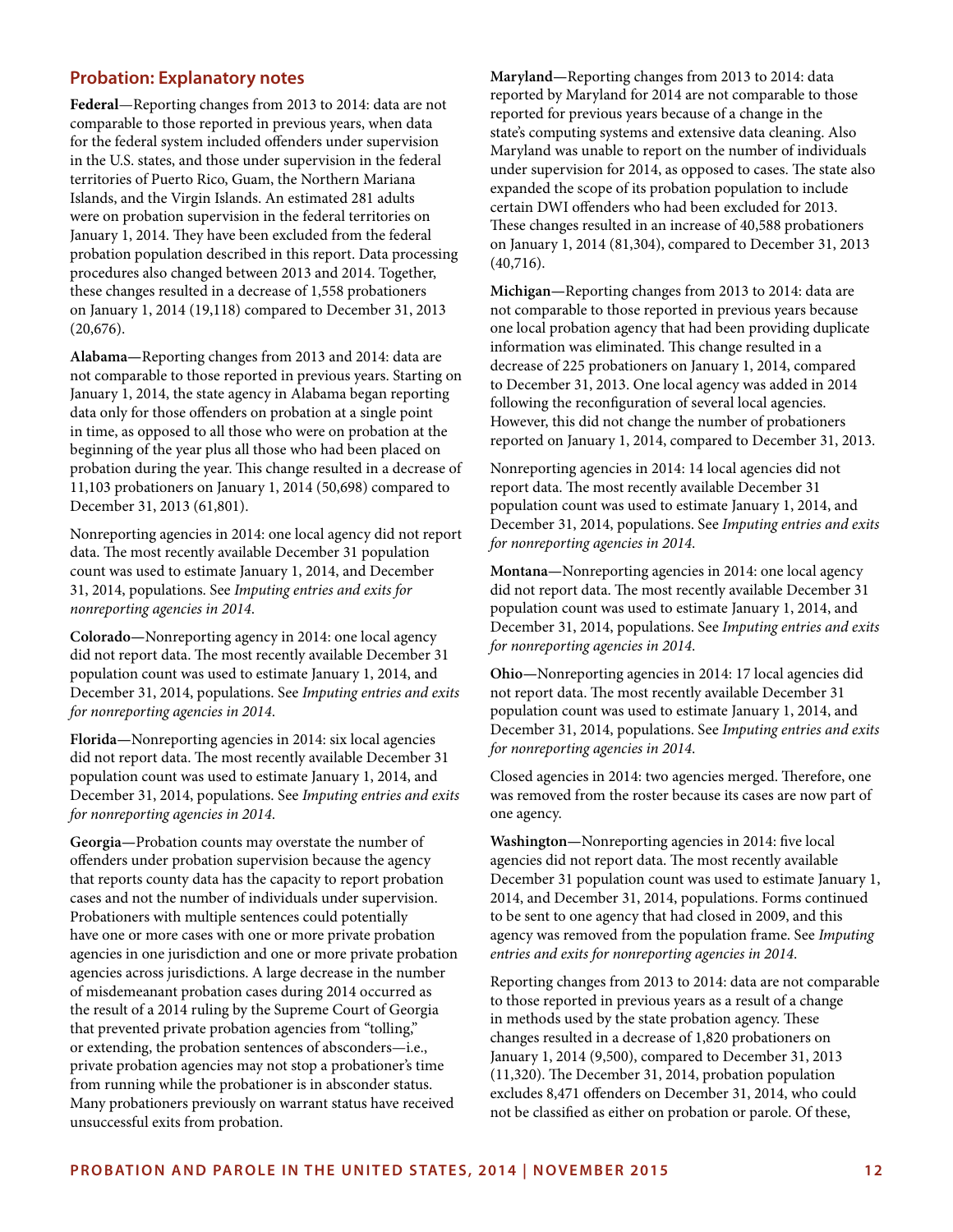#### **Probation: Explanatory notes**

**Federal**—Reporting changes from 2013 to 2014: data are not comparable to those reported in previous years, when data for the federal system included offenders under supervision in the U.S. states, and those under supervision in the federal territories of Puerto Rico, Guam, the Northern Mariana Islands, and the Virgin Islands. An estimated 281 adults were on probation supervision in the federal territories on January 1, 2014. They have been excluded from the federal probation population described in this report. Data processing procedures also changed between 2013 and 2014. Together, these changes resulted in a decrease of 1,558 probationers on January 1, 2014 (19,118) compared to December 31, 2013 (20,676).

**Alabama—**Reporting changes from 2013 and 2014: data are not comparable to those reported in previous years. Starting on January 1, 2014, the state agency in Alabama began reporting data only for those offenders on probation at a single point in time, as opposed to all those who were on probation at the beginning of the year plus all those who had been placed on probation during the year. This change resulted in a decrease of 11,103 probationers on January 1, 2014 (50,698) compared to December 31, 2013 (61,801).

Nonreporting agencies in 2014: one local agency did not report data. The most recently available December 31 population count was used to estimate January 1, 2014, and December 31, 2014, populations. See *Imputing entries and exits for nonreporting agencies in 2014*.

**Colorado—**Nonreporting agency in 2014: one local agency did not report data. The most recently available December 31 population count was used to estimate January 1, 2014, and December 31, 2014, populations. See *Imputing entries and exits for nonreporting agencies in 2014*.

**Florida—**Nonreporting agencies in 2014: six local agencies did not report data. The most recently available December 31 population count was used to estimate January 1, 2014, and December 31, 2014, populations. See *Imputing entries and exits for nonreporting agencies in 2014*.

**Georgia—**Probation counts may overstate the number of offenders under probation supervision because the agency that reports county data has the capacity to report probation cases and not the number of individuals under supervision. Probationers with multiple sentences could potentially have one or more cases with one or more private probation agencies in one jurisdiction and one or more private probation agencies across jurisdictions. A large decrease in the number of misdemeanant probation cases during 2014 occurred as the result of a 2014 ruling by the Supreme Court of Georgia that prevented private probation agencies from "tolling," or extending, the probation sentences of absconders—i.e., private probation agencies may not stop a probationer's time from running while the probationer is in absconder status. Many probationers previously on warrant status have received unsuccessful exits from probation.

**Maryland—**Reporting changes from 2013 to 2014: data reported by Maryland for 2014 are not comparable to those reported for previous years because of a change in the state's computing systems and extensive data cleaning. Also Maryland was unable to report on the number of individuals under supervision for 2014, as opposed to cases. The state also expanded the scope of its probation population to include certain DWI offenders who had been excluded for 2013. These changes resulted in an increase of 40,588 probationers on January 1, 2014 (81,304), compared to December 31, 2013 (40,716).

**Michigan—**Reporting changes from 2013 to 2014: data are not comparable to those reported in previous years because one local probation agency that had been providing duplicate information was eliminated. This change resulted in a decrease of 225 probationers on January 1, 2014, compared to December 31, 2013. One local agency was added in 2014 following the reconfiguration of several local agencies. However, this did not change the number of probationers reported on January 1, 2014, compared to December 31, 2013.

Nonreporting agencies in 2014: 14 local agencies did not report data. The most recently available December 31 population count was used to estimate January 1, 2014, and December 31, 2014, populations. See *Imputing entries and exits for nonreporting agencies in 2014*.

**Montana—**Nonreporting agencies in 2014: one local agency did not report data. The most recently available December 31 population count was used to estimate January 1, 2014, and December 31, 2014, populations. See *Imputing entries and exits for nonreporting agencies in 2014*.

**Ohio—**Nonreporting agencies in 2014: 17 local agencies did not report data. The most recently available December 31 population count was used to estimate January 1, 2014, and December 31, 2014, populations. See *Imputing entries and exits for nonreporting agencies in 2014*.

Closed agencies in 2014: two agencies merged. Therefore, one was removed from the roster because its cases are now part of one agency.

**Washington—**Nonreporting agencies in 2014: five local agencies did not report data. The most recently available December 31 population count was used to estimate January 1, 2014, and December 31, 2014, populations. Forms continued to be sent to one agency that had closed in 2009, and this agency was removed from the population frame. See *Imputing entries and exits for nonreporting agencies in 2014*.

Reporting changes from 2013 to 2014: data are not comparable to those reported in previous years as a result of a change in methods used by the state probation agency. These changes resulted in a decrease of 1,820 probationers on January 1, 2014 (9,500), compared to December 31, 2013 (11,320). The December 31, 2014, probation population excludes 8,471 offenders on December 31, 2014, who could not be classified as either on probation or parole. Of these,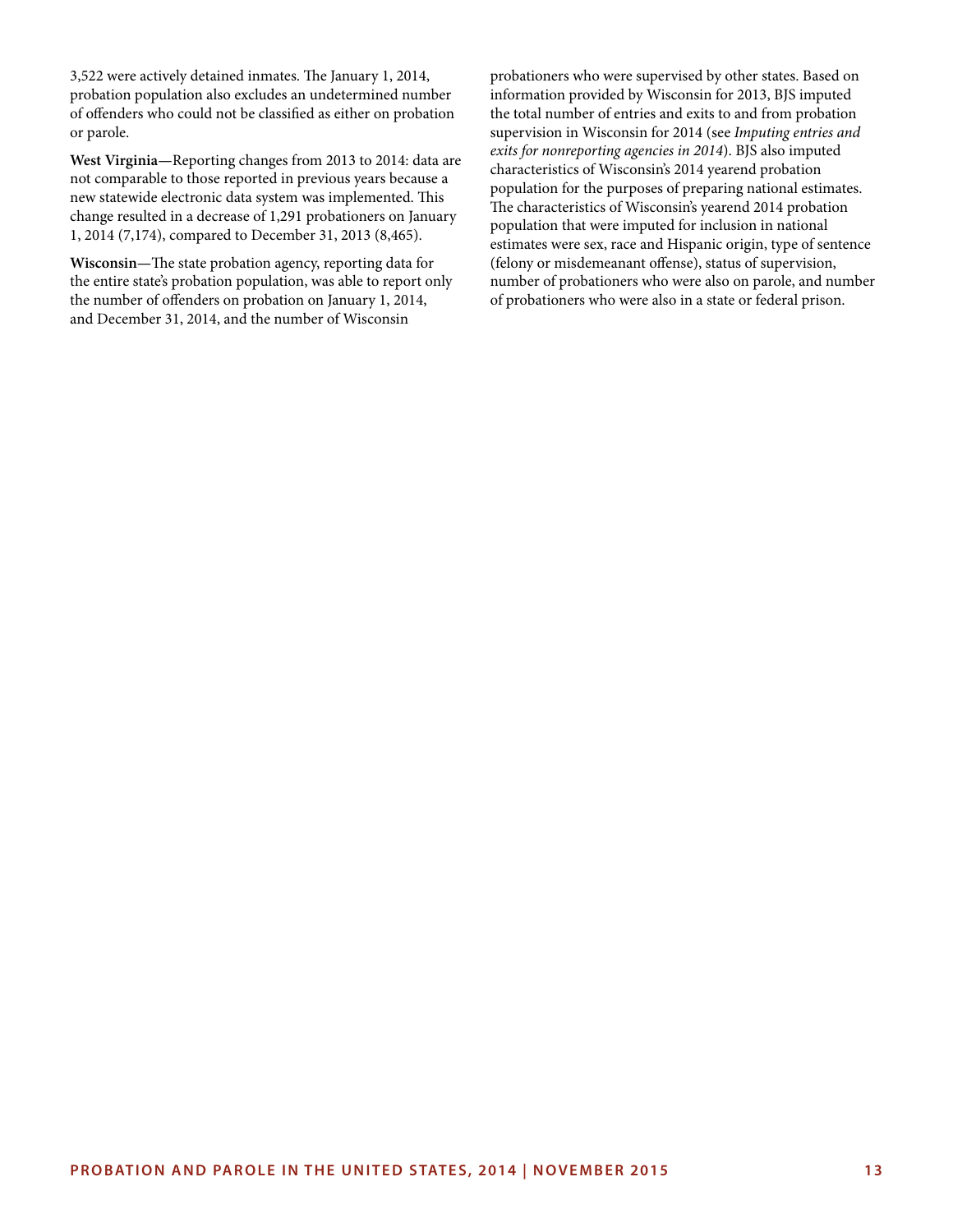3,522 were actively detained inmates. The January 1, 2014, probation population also excludes an undetermined number of offenders who could not be classified as either on probation or parole.

**West Virginia—**Reporting changes from 2013 to 2014: data are not comparable to those reported in previous years because a new statewide electronic data system was implemented. This change resulted in a decrease of 1,291 probationers on January 1, 2014 (7,174), compared to December 31, 2013 (8,465).

**Wisconsin—**The state probation agency, reporting data for the entire state's probation population, was able to report only the number of offenders on probation on January 1, 2014, and December 31, 2014, and the number of Wisconsin

probationers who were supervised by other states. Based on information provided by Wisconsin for 2013, BJS imputed the total number of entries and exits to and from probation supervision in Wisconsin for 2014 (see *Imputing entries and exits for nonreporting agencies in 2014*). BJS also imputed characteristics of Wisconsin's 2014 yearend probation population for the purposes of preparing national estimates. The characteristics of Wisconsin's yearend 2014 probation population that were imputed for inclusion in national estimates were sex, race and Hispanic origin, type of sentence (felony or misdemeanant offense), status of supervision, number of probationers who were also on parole, and number of probationers who were also in a state or federal prison.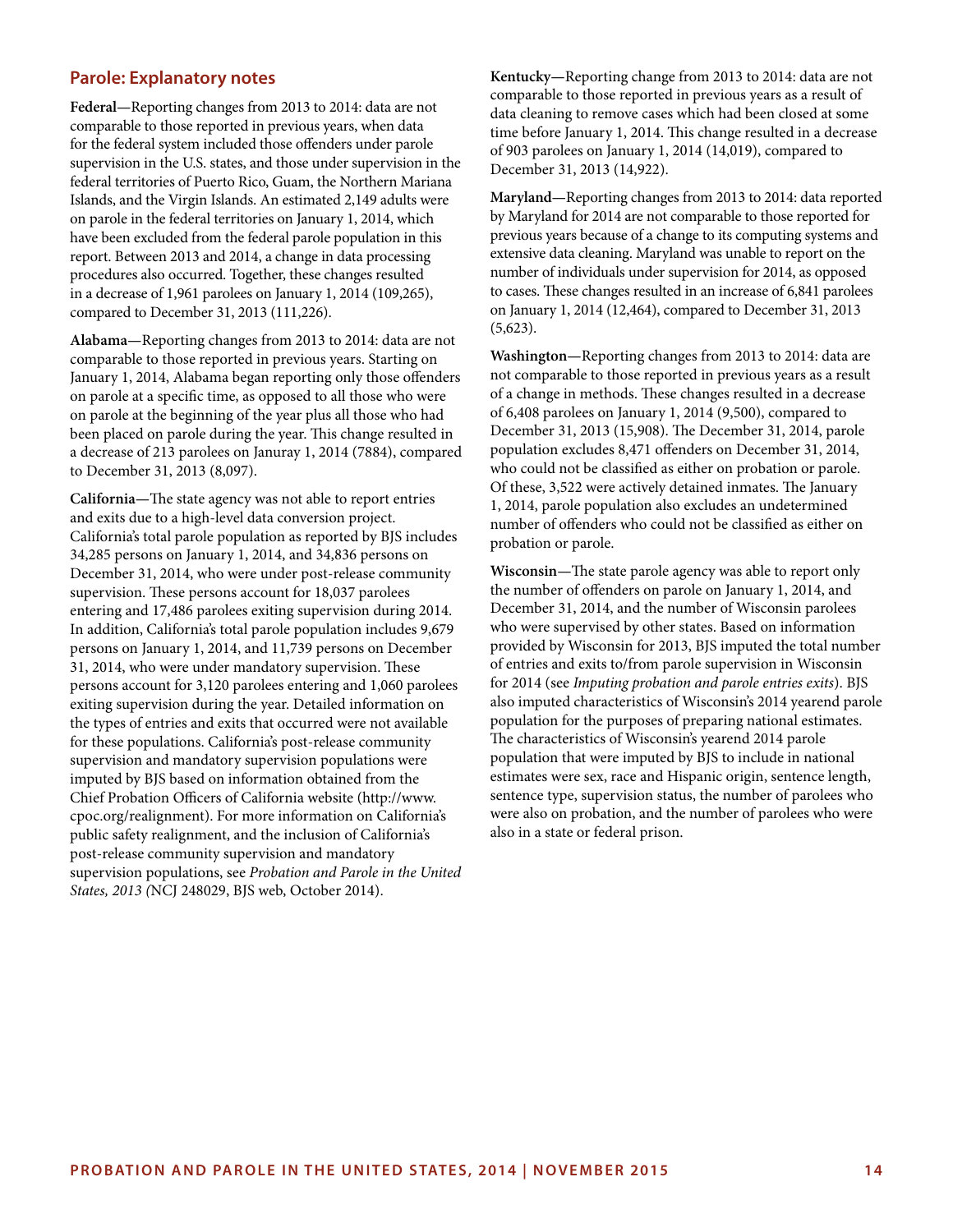#### **Parole: Explanatory notes**

**Federal—**Reporting changes from 2013 to 2014: data are not comparable to those reported in previous years, when data for the federal system included those offenders under parole supervision in the U.S. states, and those under supervision in the federal territories of Puerto Rico, Guam, the Northern Mariana Islands, and the Virgin Islands. An estimated 2,149 adults were on parole in the federal territories on January 1, 2014, which have been excluded from the federal parole population in this report. Between 2013 and 2014, a change in data processing procedures also occurred. Together, these changes resulted in a decrease of 1,961 parolees on January 1, 2014 (109,265), compared to December 31, 2013 (111,226).

**Alabama—**Reporting changes from 2013 to 2014: data are not comparable to those reported in previous years. Starting on January 1, 2014, Alabama began reporting only those offenders on parole at a specific time, as opposed to all those who were on parole at the beginning of the year plus all those who had been placed on parole during the year. This change resulted in a decrease of 213 parolees on Januray 1, 2014 (7884), compared to December 31, 2013 (8,097).

**California—**The state agency was not able to report entries and exits due to a high-level data conversion project. California's total parole population as reported by BJS includes 34,285 persons on January 1, 2014, and 34,836 persons on December 31, 2014, who were under post-release community supervision. These persons account for 18,037 parolees entering and 17,486 parolees exiting supervision during 2014. In addition, California's total parole population includes 9,679 persons on January 1, 2014, and 11,739 persons on December 31, 2014, who were under mandatory supervision. These persons account for 3,120 parolees entering and 1,060 parolees exiting supervision during the year. Detailed information on the types of entries and exits that occurred were not available for these populations. California's post-release community supervision and mandatory supervision populations were imputed by BJS based on information obtained from the Chief Probation Officers of California website (http://www. cpoc.org/realignment). For more information on California's public safety realignment, and the inclusion of California's post-release community supervision and mandatory supervision populations, see *Probation and Parole in the United States, 2013 (*NCJ 248029, BJS web, October 2014).

**Kentucky—**Reporting change from 2013 to 2014: data are not comparable to those reported in previous years as a result of data cleaning to remove cases which had been closed at some time before January 1, 2014. This change resulted in a decrease of 903 parolees on January 1, 2014 (14,019), compared to December 31, 2013 (14,922).

**Maryland—**Reporting changes from 2013 to 2014: data reported by Maryland for 2014 are not comparable to those reported for previous years because of a change to its computing systems and extensive data cleaning. Maryland was unable to report on the number of individuals under supervision for 2014, as opposed to cases. These changes resulted in an increase of 6,841 parolees on January 1, 2014 (12,464), compared to December 31, 2013  $(5,623)$ .

**Washington—**Reporting changes from 2013 to 2014: data are not comparable to those reported in previous years as a result of a change in methods. These changes resulted in a decrease of 6,408 parolees on January 1, 2014 (9,500), compared to December 31, 2013 (15,908). The December 31, 2014, parole population excludes 8,471 offenders on December 31, 2014, who could not be classified as either on probation or parole. Of these, 3,522 were actively detained inmates. The January 1, 2014, parole population also excludes an undetermined number of offenders who could not be classified as either on probation or parole.

**Wisconsin—**The state parole agency was able to report only the number of offenders on parole on January 1, 2014, and December 31, 2014, and the number of Wisconsin parolees who were supervised by other states. Based on information provided by Wisconsin for 2013, BJS imputed the total number of entries and exits to/from parole supervision in Wisconsin for 2014 (see *Imputing probation and parole entries exits*). BJS also imputed characteristics of Wisconsin's 2014 yearend parole population for the purposes of preparing national estimates. The characteristics of Wisconsin's yearend 2014 parole population that were imputed by BJS to include in national estimates were sex, race and Hispanic origin, sentence length, sentence type, supervision status, the number of parolees who were also on probation, and the number of parolees who were also in a state or federal prison.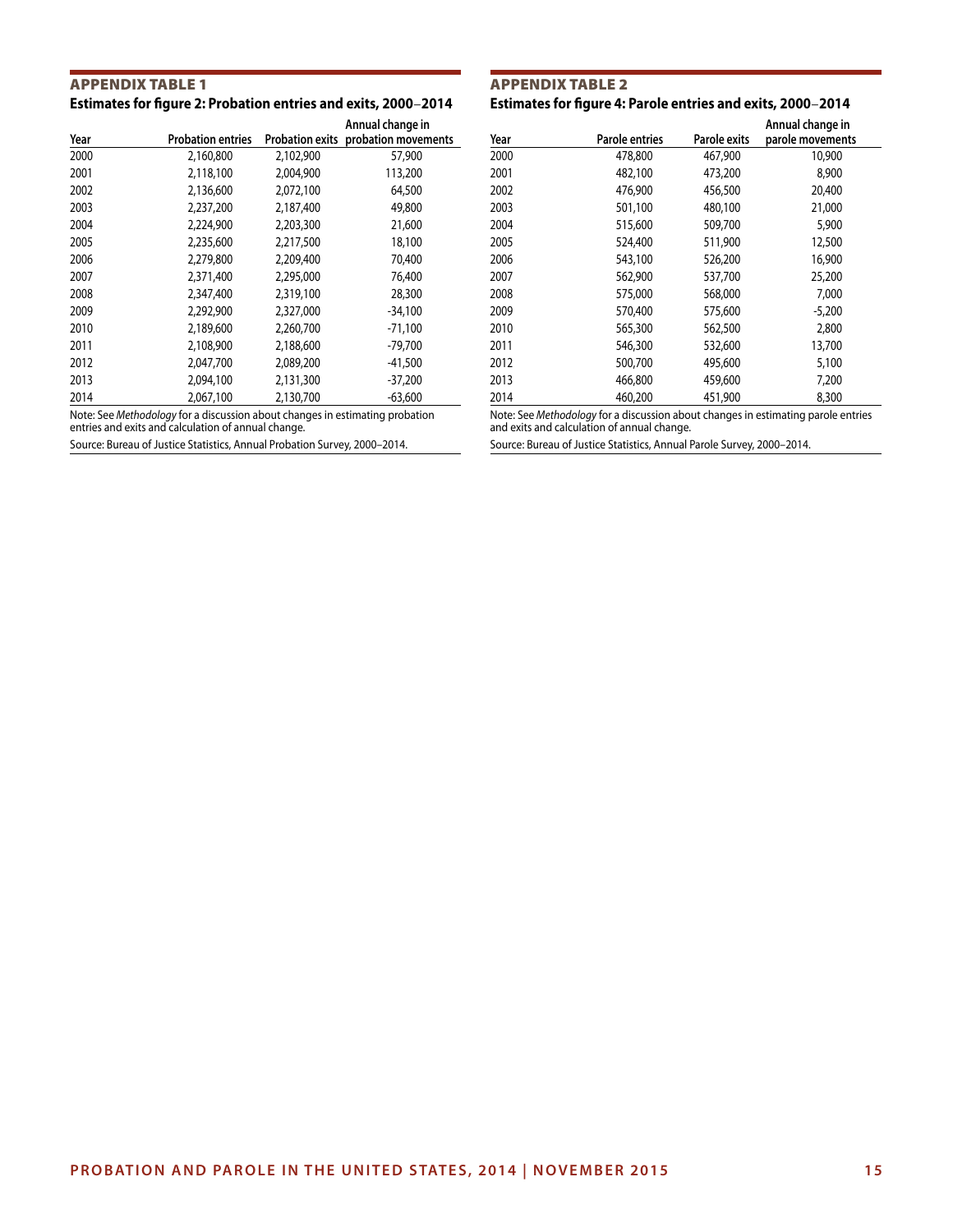#### Appendix Table 1 **Estimates for figure 2: Probation entries and exits, 2000**–**2014**

| Year | <b>Probation entries</b> |           | Annual change in<br>Probation exits probation movements |
|------|--------------------------|-----------|---------------------------------------------------------|
| 2000 | 2,160,800                | 2,102,900 | 57,900                                                  |
| 2001 | 2,118,100                | 2,004,900 | 113,200                                                 |
| 2002 | 2,136,600                | 2,072,100 | 64,500                                                  |
| 2003 | 2,237,200                | 2,187,400 | 49,800                                                  |
| 2004 | 2,224,900                | 2,203,300 | 21,600                                                  |
| 2005 | 2,235,600                | 2,217,500 | 18,100                                                  |
| 2006 | 2,279,800                | 2,209,400 | 70,400                                                  |
| 2007 | 2,371,400                | 2,295,000 | 76,400                                                  |
| 2008 | 2,347,400                | 2,319,100 | 28,300                                                  |
| 2009 | 2,292,900                | 2,327,000 | $-34.100$                                               |
| 2010 | 2,189,600                | 2,260,700 | $-71,100$                                               |
| 2011 | 2,108,900                | 2,188,600 | $-79,700$                                               |
| 2012 | 2,047,700                | 2,089,200 | $-41,500$                                               |
| 2013 | 2,094,100                | 2,131,300 | $-37,200$                                               |
| 2014 | 2,067,100                | 2,130,700 | $-63,600$                                               |

Note: See *Methodology* for a discussion about changes in estimating probation entries and exits and calculation of annual change.

Source: Bureau of Justice Statistics, Annual Probation Survey, 2000–2014.

#### Appendix Table 2 **Estimates for figure 4: Parole entries and exits, 2000**–**2014**

| Year | Parole entries | Parole exits | Annual change in<br>parole movements |
|------|----------------|--------------|--------------------------------------|
| 2000 | 478,800        | 467,900      | 10,900                               |
| 2001 | 482,100        | 473,200      | 8,900                                |
| 2002 | 476,900        | 456,500      | 20,400                               |
| 2003 | 501,100        | 480,100      | 21,000                               |
| 2004 | 515,600        | 509,700      | 5,900                                |
| 2005 | 524,400        | 511,900      | 12,500                               |
| 2006 | 543,100        | 526,200      | 16,900                               |
| 2007 | 562,900        | 537,700      | 25,200                               |
| 2008 | 575,000        | 568,000      | 7,000                                |
| 2009 | 570,400        | 575,600      | $-5,200$                             |
| 2010 | 565,300        | 562,500      | 2,800                                |
| 2011 | 546,300        | 532,600      | 13,700                               |
| 2012 | 500,700        | 495,600      | 5,100                                |
| 2013 | 466,800        | 459,600      | 7,200                                |
| 2014 | 460,200        | 451,900      | 8,300                                |

Note: See *Methodology* for a discussion about changes in estimating parole entries and exits and calculation of annual change.

Source: Bureau of Justice Statistics, Annual Parole Survey, 2000–2014.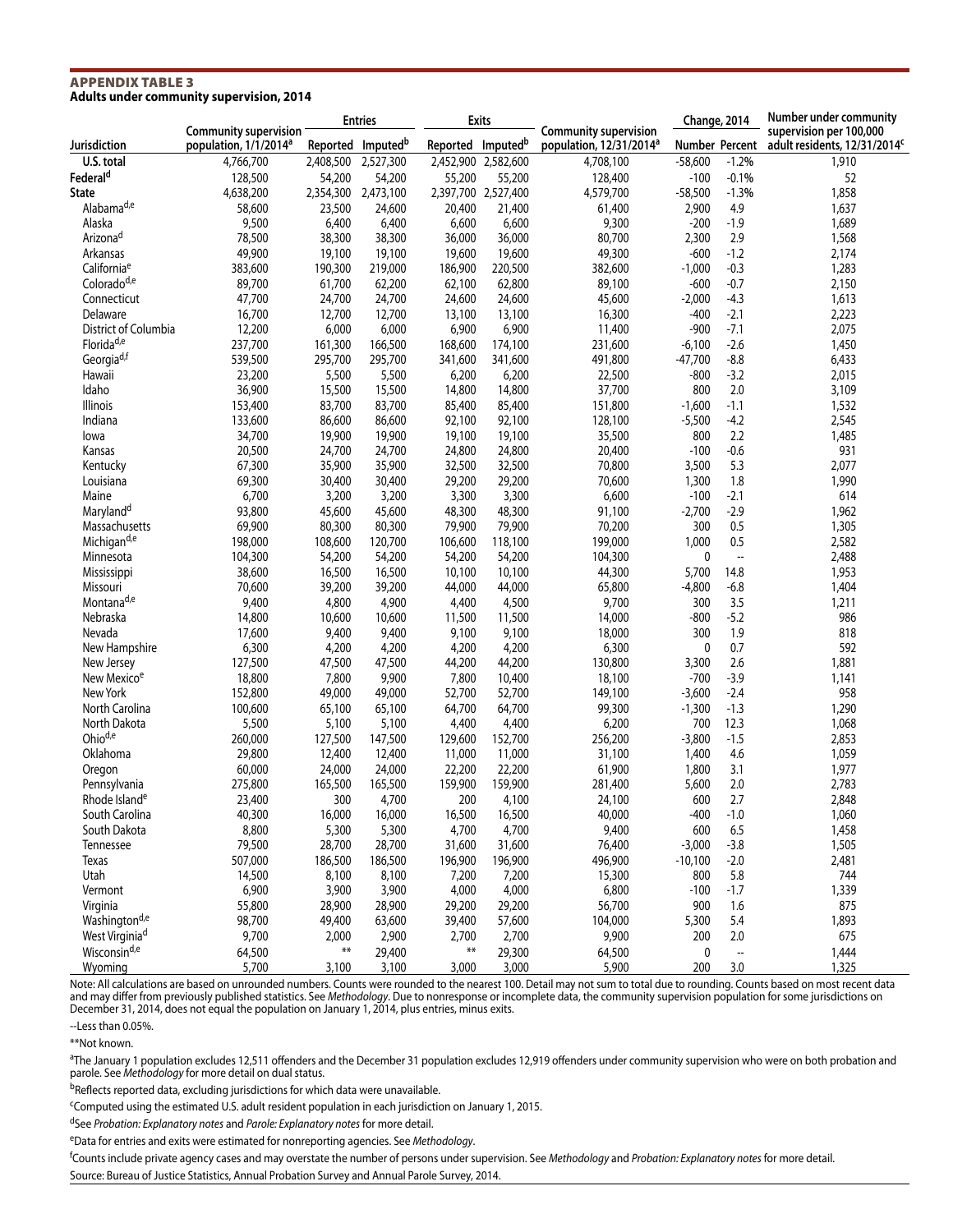#### Appendix Table 3 **Adults under community supervision, 2014**

|                            | <b>Community supervision</b>      | <b>Entries</b>         |                               | <b>Exits</b>                  |                     | <b>Community supervision</b>        | Change, 2014   |                          | Number under community<br>supervision per 100,000 |  |
|----------------------------|-----------------------------------|------------------------|-------------------------------|-------------------------------|---------------------|-------------------------------------|----------------|--------------------------|---------------------------------------------------|--|
| Jurisdiction               | population, 1/1/2014 <sup>a</sup> |                        | Reported Imputed <sup>b</sup> | Reported Imputed <sup>b</sup> |                     | population, 12/31/2014 <sup>a</sup> | Number Percent |                          | adult residents, 12/31/2014 <sup>c</sup>          |  |
| U.S. total                 | 4,766,700                         | 2,408,500              | 2,527,300                     |                               | 2,452,900 2,582,600 | 4,708,100                           | $-58,600$      | $-1.2%$                  | 1,910                                             |  |
| Federal <sup>d</sup>       | 128,500                           | 54,200                 | 54,200                        | 55,200                        | 55,200              | 128,400                             | $-100$         | $-0.1%$                  | 52                                                |  |
| <b>State</b>               | 4,638,200                         | 2,354,300              | 2,473,100                     |                               | 2,397,700 2,527,400 | 4,579,700                           | $-58,500$      | $-1.3%$                  | 1,858                                             |  |
| Alabama <sup>d,e</sup>     | 58,600                            | 23,500                 | 24,600                        | 20,400                        | 21,400              | 61,400                              | 2,900          | 4.9                      | 1,637                                             |  |
| Alaska                     | 9,500                             | 6,400                  | 6,400                         | 6,600                         | 6,600               | 9,300                               | $-200$         | $-1.9$                   | 1,689                                             |  |
| Arizona <sup>d</sup>       | 78,500                            | 38,300                 | 38,300                        | 36,000                        | 36,000              | 80,700                              | 2,300          | 2.9                      | 1,568                                             |  |
| Arkansas                   | 49,900                            | 19,100                 | 19,100                        | 19,600                        | 19,600              | 49,300                              | $-600$         | $-1.2$                   | 2,174                                             |  |
| California <sup>e</sup>    | 383,600                           | 190,300                | 219,000                       | 186,900                       | 220,500             | 382,600                             | $-1,000$       | $-0.3$                   | 1,283                                             |  |
| Colorado <sup>d,e</sup>    | 89,700                            | 61,700                 | 62,200                        | 62,100                        | 62,800              | 89,100                              | $-600$         | $-0.7$                   | 2,150                                             |  |
| Connecticut                | 47,700                            | 24,700                 | 24,700                        | 24,600                        | 24,600              | 45,600                              | $-2,000$       | $-4.3$                   | 1,613                                             |  |
| Delaware                   | 16,700                            | 12,700                 | 12,700                        | 13,100                        | 13,100              | 16,300                              | $-400$         | $-2.1$                   | 2,223                                             |  |
| District of Columbia       | 12,200                            | 6,000                  | 6,000                         | 6,900                         | 6,900               | 11,400                              | $-900$         | $-7.1$                   | 2,075                                             |  |
| Florida <sup>d,e</sup>     | 237,700                           | 161,300                | 166,500                       | 168,600                       | 174,100             | 231,600                             | $-6,100$       | $-2.6$                   | 1,450                                             |  |
| Georgia <sup>d,f</sup>     | 539,500                           | 295,700                | 295,700                       | 341,600                       | 341,600             | 491,800                             | $-47,700$      | $-8.8$                   | 6,433                                             |  |
| Hawaii                     | 23,200                            | 5,500                  | 5,500                         | 6,200                         | 6,200               | 22,500                              | $-800$         | $-3.2$                   | 2,015                                             |  |
| Idaho                      | 36,900                            | 15,500                 | 15,500                        | 14,800                        | 14,800              | 37,700                              | 800            | 2.0                      | 3,109                                             |  |
| Illinois                   | 153,400                           | 83,700                 | 83,700                        | 85,400                        | 85,400              | 151,800                             | $-1,600$       | $-1.1$                   | 1,532                                             |  |
| Indiana                    | 133,600                           | 86,600                 | 86,600                        | 92,100                        | 92,100              | 128,100                             | $-5,500$       | $-4.2$                   | 2,545                                             |  |
| lowa                       | 34,700                            | 19,900                 | 19,900                        | 19,100                        | 19,100              | 35,500                              | 800            | 2.2                      | 1,485                                             |  |
| Kansas                     | 20,500                            | 24,700                 | 24,700                        | 24,800                        | 24,800              | 20,400                              | $-100$         | $-0.6$                   | 931                                               |  |
| Kentucky                   | 67,300                            | 35,900                 | 35,900                        | 32,500                        | 32,500              | 70,800                              | 3,500          | 5.3                      | 2,077                                             |  |
| Louisiana                  | 69,300                            | 30,400                 | 30,400                        | 29,200                        | 29,200              | 70,600                              | 1,300          | 1.8                      | 1,990                                             |  |
| Maine                      | 6,700                             | 3,200                  | 3,200                         | 3,300                         | 3,300               | 6,600                               | $-100$         | $-2.1$                   | 614                                               |  |
| Maryland <sup>d</sup>      | 93,800                            | 45,600                 | 45,600                        | 48,300                        | 48,300              | 91,100                              | $-2,700$       | $-2.9$                   | 1,962                                             |  |
| Massachusetts              | 69,900                            | 80,300                 | 80,300                        | 79,900                        | 79,900              | 70,200                              | 300            | 0.5                      | 1,305                                             |  |
| Michigan <sup>d,e</sup>    | 198,000                           | 108,600                | 120,700                       | 106,600                       | 118,100             | 199,000                             | 1,000          | 0.5                      | 2,582                                             |  |
| Minnesota                  | 104,300                           | 54,200                 | 54,200                        | 54,200                        | 54,200              | 104,300                             | $\mathbf{0}$   | $\overline{\phantom{a}}$ | 2,488                                             |  |
| Mississippi                | 38,600                            | 16,500                 | 16,500                        | 10,100                        | 10,100              | 44,300                              | 5,700          | 14.8                     | 1,953                                             |  |
| Missouri                   | 70,600                            | 39,200                 | 39,200                        | 44,000                        | 44,000              | 65,800                              | $-4,800$       | $-6.8$                   | 1,404                                             |  |
| Montana <sup>d,e</sup>     | 9,400                             | 4,800                  | 4,900                         | 4,400                         | 4,500               | 9,700                               | 300            | 3.5                      | 1,211                                             |  |
| Nebraska                   | 14,800                            | 10,600                 | 10,600                        | 11,500                        | 11,500              | 14,000                              | $-800$         | $-5.2$                   | 986                                               |  |
| Nevada                     | 17,600                            | 9,400                  | 9,400                         | 9,100                         | 9,100               | 18,000                              | 300            | 1.9                      | 818                                               |  |
| New Hampshire              | 6,300                             | 4,200                  | 4,200                         | 4,200                         | 4,200               | 6,300                               | 0              | 0.7                      | 592                                               |  |
| New Jersey                 | 127,500                           | 47,500                 | 47,500                        | 44,200                        | 44,200              | 130,800                             | 3,300          | 2.6                      | 1,881                                             |  |
| New Mexico <sup>e</sup>    | 18,800                            | 7,800                  | 9,900                         | 7,800                         | 10,400              | 18,100                              | $-700$         | $-3.9$                   | 1,141                                             |  |
| New York                   | 152,800                           | 49,000                 | 49,000                        | 52,700                        | 52,700              | 149,100                             | $-3,600$       | $-2.4$                   | 958                                               |  |
| North Carolina             | 100,600                           | 65,100                 | 65,100                        | 64,700                        | 64,700              | 99,300                              | $-1,300$       | $-1.3$                   | 1,290                                             |  |
| North Dakota               | 5,500                             | 5,100                  | 5,100                         | 4,400                         | 4,400               | 6,200                               | 700            | 12.3                     | 1,068                                             |  |
| Ohio <sup>d,e</sup>        | 260,000                           | 127,500                | 147,500                       | 129,600                       | 152,700             | 256,200                             | $-3,800$       | $-1.5$                   | 2,853                                             |  |
| Oklahoma                   | 29,800                            | 12,400                 | 12,400                        | 11,000                        | 11,000              | 31,100                              | 1,400          | 4.6                      | 1,059                                             |  |
| Oregon                     | 60,000                            | 24,000                 | 24,000                        | 22,200                        | 22,200              | 61,900                              | 1,800          | 3.1                      | 1,977                                             |  |
| Pennsylvania               | 275,800                           | 165,500                | 165,500                       | 159,900                       | 159,900             | 281,400                             | 5,600          | 2.0                      | 2,783                                             |  |
| Rhode Island <sup>e</sup>  | 23,400                            | 300                    | 4,700                         | 200                           | 4,100               | 24,100                              | 600            | 2.7                      | 2,848                                             |  |
| South Carolina             | 40,300                            | 16,000                 | 16,000                        | 16,500                        | 16,500              | 40,000                              | $-400$         | $-1.0$                   | 1,060                                             |  |
| South Dakota               | 8,800                             | 5,300                  | 5,300                         | 4,700                         | 4,700               | 9,400                               | 600            | 6.5                      | 1,458                                             |  |
| Tennessee                  | 79,500                            | 28,700                 | 28,700                        | 31,600                        | 31,600              | 76,400                              | $-3,000$       | $-3.8$                   | 1,505                                             |  |
| Texas                      | 507,000                           | 186,500                | 186,500                       | 196,900                       | 196,900             | 496,900                             | $-10,100$      | $-2.0$                   | 2,481                                             |  |
| Utah                       | 14,500                            | 8,100                  | 8,100                         | 7,200                         | 7,200               | 15,300                              | 800            | 5.8                      | 744                                               |  |
| Vermont                    | 6,900                             | 3,900                  | 3,900                         | 4,000                         | 4,000               | 6,800                               | $-100$         | $-1.7$                   | 1,339                                             |  |
| Virginia                   | 55,800                            | 28,900                 | 28,900                        | 29,200                        | 29,200              | 56,700                              | 900            | 1.6                      | 875                                               |  |
| Washington <sup>d,e</sup>  | 98,700                            | 49,400                 | 63,600                        | 39,400                        | 57,600              | 104,000                             | 5,300          | 5.4                      | 1,893                                             |  |
| West Virginia <sup>d</sup> | 9,700                             | 2,000                  | 2,900                         | 2,700                         | 2,700               | 9,900                               | 200            | 2.0                      | 675                                               |  |
| Wisconsin <sup>d,e</sup>   | 64,500                            | $\pmb{\ast}\pmb{\ast}$ | 29,400                        | $\pmb{\ast}\pmb{\ast}$        | 29,300              | 64,500                              | $\pmb{0}$      | $\overline{\phantom{a}}$ | 1,444                                             |  |
| Wyoming                    | 5,700                             | 3,100                  | 3,100                         | 3,000                         | 3,000               | 5,900                               | 200            | 3.0                      | 1,325                                             |  |

Note: All calculations are based on unrounded numbers. Counts were rounded to the nearest 100. Detail may not sum to total due to rounding. Counts based on most recent data and may differ from previously published statistics. See *Methodology*. Due to nonresponse or incomplete data, the community supervision population for some jurisdictions on December 31, 2014, does not equal the population on January 1, 2014, plus entries, minus exits.

--Less than 0.05%.

\*\*Not known.

aThe January 1 population excludes 12,511 offenders and the December 31 population excludes 12,919 offenders under community supervision who were on both probation and parole. See *Methodology* for more detail on dual status.

bReflects reported data, excluding jurisdictions for which data were unavailable.

cComputed using the estimated U.S. adult resident population in each jurisdiction on January 1, 2015.

dSee *Probation: Explanatory notes* and *Parole: Explanatory notes* for more detail.

eData for entries and exits were estimated for nonreporting agencies. See *Methodology*.

f Counts include private agency cases and may overstate the number of persons under supervision. See *Methodology* and *Probation: Explanatory notes* for more detail. Source: Bureau of Justice Statistics, Annual Probation Survey and Annual Parole Survey, 2014.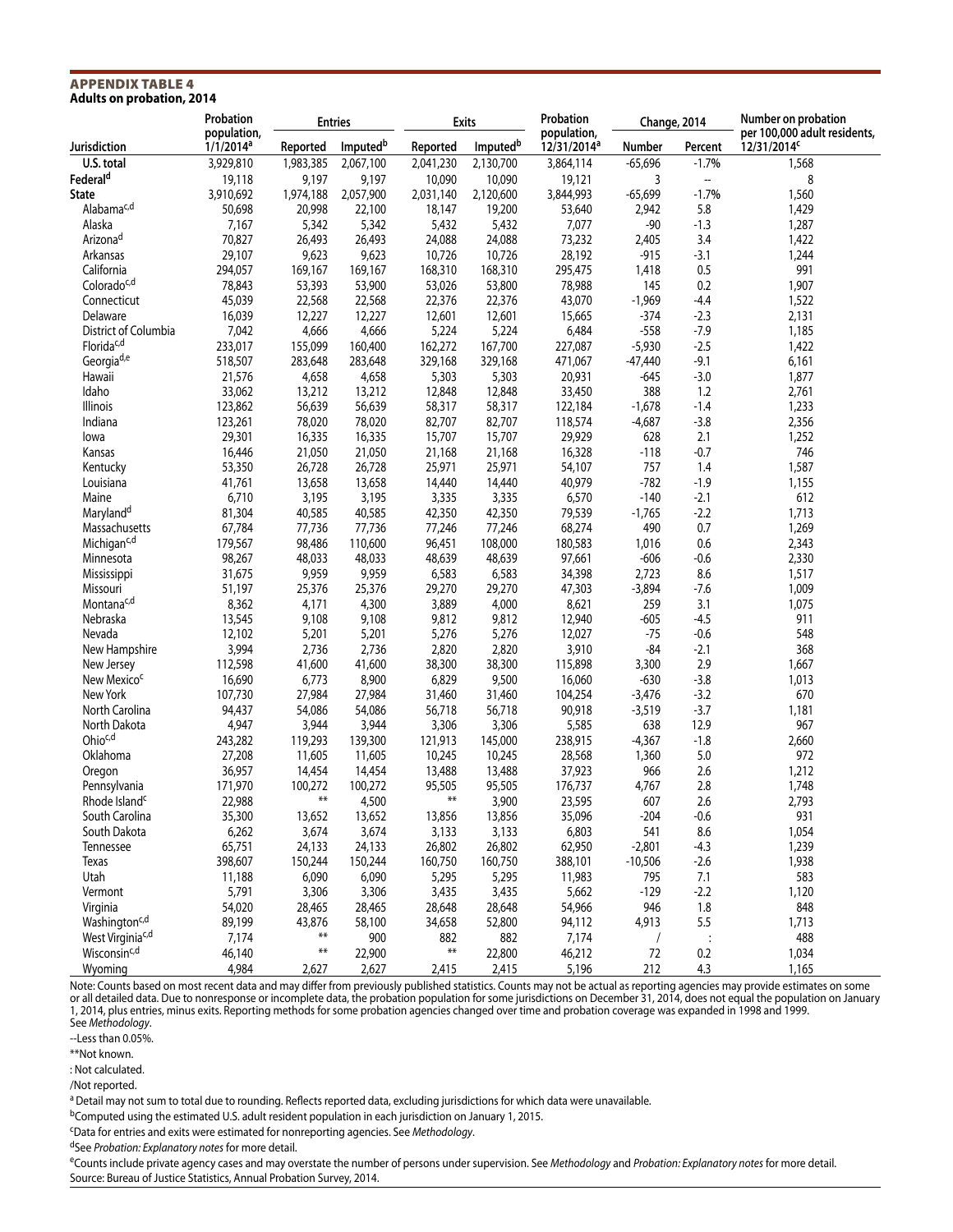#### Appendix Table 4 **Adults on probation, 2014**

|                                    | Probation                   |                  | <b>Entries</b>       |                 | <b>Exits</b>         | Probation                              |                 | Change, 2014             | Number on probation                                     |  |
|------------------------------------|-----------------------------|------------------|----------------------|-----------------|----------------------|----------------------------------------|-----------------|--------------------------|---------------------------------------------------------|--|
| Jurisdiction                       | population,<br>$1/1/2014^a$ | Reported         | Imputed <sup>b</sup> | Reported        | Imputed <sup>b</sup> | population,<br>12/31/2014 <sup>a</sup> | Number          | Percent                  | per 100,000 adult residents,<br>12/31/2014 <sup>c</sup> |  |
| U.S. total                         | 3,929,810                   | 1,983,385        | 2,067,100            | 2,041,230       | 2,130,700            | 3,864,114                              | $-65,696$       | $-1.7%$                  | 1,568                                                   |  |
| Federal <sup>d</sup>               | 19,118                      | 9,197            | 9,197                | 10,090          | 10,090               | 19,121                                 | 3               | $\overline{\phantom{a}}$ | 8                                                       |  |
| <b>State</b>                       | 3,910,692                   | 1,974,188        | 2,057,900            | 2,031,140       | 2,120,600            | 3,844,993                              | $-65,699$       | $-1.7%$                  | 1,560                                                   |  |
| Alabama <sup>c,d</sup>             | 50,698                      | 20,998           | 22,100               | 18,147          | 19,200               | 53,640                                 | 2,942           | 5.8                      | 1,429                                                   |  |
| Alaska                             | 7,167                       | 5,342            | 5,342                | 5,432           | 5,432                | 7,077                                  | $-90$           | $-1.3$                   | 1,287                                                   |  |
| Arizona <sup>d</sup>               | 70,827                      | 26,493           | 26,493               | 24,088          | 24,088               | 73,232                                 | 2,405           | 3.4                      | 1,422                                                   |  |
| Arkansas                           | 29,107                      | 9,623            | 9,623                | 10,726          | 10,726               | 28,192                                 | $-915$          | $-3.1$                   | 1,244                                                   |  |
| California                         | 294,057                     | 169,167          | 169,167              | 168,310         | 168,310              | 295,475                                | 1,418           | 0.5                      | 991                                                     |  |
| Coloradoc,d                        | 78,843                      | 53,393           | 53,900               | 53,026          | 53,800               | 78,988                                 | 145             | 0.2                      | 1,907                                                   |  |
| Connecticut                        | 45,039                      | 22,568           | 22,568               | 22,376          | 22,376               | 43,070                                 | $-1,969$        | $-4.4$                   | 1,522                                                   |  |
| Delaware                           | 16,039                      | 12,227           | 12,227               | 12,601          | 12,601               | 15,665                                 | $-374$          | $-2.3$                   | 2,131                                                   |  |
| District of Columbia               | 7,042                       | 4,666            | 4,666                | 5,224           | 5,224                | 6,484                                  | $-558$          | $-7.9$                   | 1,185                                                   |  |
| Florida <sup>c,d</sup>             | 233,017                     | 155,099          | 160,400              | 162,272         | 167,700              | 227,087                                | $-5,930$        | $-2.5$                   | 1,422                                                   |  |
| Georgia <sup>d,e</sup>             | 518,507                     | 283,648          | 283,648              | 329,168         | 329,168              | 471,067                                | $-47,440$       | $-9.1$                   | 6,161                                                   |  |
| Hawaii                             | 21,576                      | 4,658            | 4,658                | 5,303           | 5,303                | 20,931                                 | $-645$          | $-3.0$                   | 1,877                                                   |  |
| Idaho                              | 33,062                      | 13,212           | 13,212               | 12,848          | 12,848               | 33,450                                 | 388             | 1.2                      | 2,761                                                   |  |
| Illinois                           | 123,862                     | 56,639           | 56,639               | 58,317          | 58,317               | 122,184                                | $-1,678$        | $-1.4$                   | 1,233                                                   |  |
| Indiana                            | 123,261                     | 78,020           | 78,020               | 82,707          | 82,707               | 118,574                                | $-4,687$        | $-3.8$                   | 2,356                                                   |  |
| lowa                               | 29,301                      | 16,335           | 16,335               | 15,707          | 15,707               | 29,929                                 | 628             | 2.1                      | 1,252                                                   |  |
| Kansas                             | 16,446                      | 21,050           | 21,050               | 21,168          | 21,168               | 16,328                                 | $-118$          | $-0.7$                   | 746                                                     |  |
| Kentucky                           | 53,350                      | 26,728           | 26,728               | 25,971          | 25,971               | 54,107                                 | 757             | 1.4                      | 1,587                                                   |  |
| Louisiana                          | 41,761                      | 13,658           | 13,658               | 14,440          | 14,440               | 40,979                                 | $-782$          | $-1.9$                   | 1,155                                                   |  |
| Maine                              | 6,710                       | 3,195            | 3,195                | 3,335           | 3,335                | 6,570                                  | $-140$          | $-2.1$                   | 612                                                     |  |
| Maryland <sup>d</sup>              | 81,304                      | 40,585           | 40,585               | 42,350          | 42,350               | 79,539                                 | $-1,765$        | $-2.2$                   | 1,713                                                   |  |
| Massachusetts                      | 67,784                      | 77,736           | 77,736               | 77,246          | 77,246               | 68,274                                 | 490             | 0.7                      | 1,269                                                   |  |
| Michigan <sup>c,d</sup>            | 179,567                     | 98,486           | 110,600              | 96,451          | 108,000              | 180,583                                | 1,016           | 0.6                      | 2,343                                                   |  |
| Minnesota                          | 98,267                      | 48,033           | 48,033               | 48,639          | 48,639               | 97,661                                 | $-606$          | $-0.6$                   | 2,330                                                   |  |
|                                    | 31,675                      | 9,959            | 9,959                | 6,583           | 6,583                | 34,398                                 | 2,723           | 8.6                      | 1,517                                                   |  |
| Mississippi                        |                             |                  |                      |                 |                      |                                        |                 | $-7.6$                   |                                                         |  |
| Missouri<br>Montana <sup>c,d</sup> | 51,197                      | 25,376           | 25,376               | 29,270          | 29,270               | 47,303                                 | $-3,894$<br>259 | 3.1                      | 1,009                                                   |  |
| Nebraska                           | 8,362                       | 4,171<br>9,108   | 4,300                | 3,889           | 4,000                | 8,621                                  | $-605$          | $-4.5$                   | 1,075<br>911                                            |  |
|                                    | 13,545                      |                  | 9,108                | 9,812           | 9,812                | 12,940                                 |                 |                          |                                                         |  |
| Nevada                             | 12,102                      | 5,201            | 5,201                | 5,276           | 5,276                | 12,027                                 | $-75$           | $-0.6$                   | 548                                                     |  |
| New Hampshire                      | 3,994                       | 2,736            | 2,736                | 2,820           | 2,820                | 3,910                                  | $-84$           | $-2.1$                   | 368                                                     |  |
| New Jersey                         | 112,598                     | 41,600           | 41,600               | 38,300          | 38,300               | 115,898                                | 3,300           | 2.9                      | 1,667                                                   |  |
| New Mexico <sup>c</sup>            | 16,690                      | 6,773            | 8,900                | 6,829           | 9,500                | 16,060                                 | $-630$          | $-3.8$                   | 1,013                                                   |  |
| New York                           | 107,730                     | 27,984           | 27,984               | 31,460          | 31,460               | 104,254                                | $-3,476$        | $-3.2$                   | 670                                                     |  |
| North Carolina                     | 94,437                      | 54,086           | 54,086               | 56,718          | 56,718               | 90,918                                 | $-3,519$        | $-3.7$                   | 1,181                                                   |  |
| North Dakota                       | 4,947                       | 3,944            | 3,944                | 3,306           | 3,306                | 5,585                                  | 638             | 12.9                     | 967                                                     |  |
| Ohioc,d                            | 243,282                     | 119,293          | 139,300              | 121,913         | 145,000              | 238,915                                | $-4,367$        | $-1.8$                   | 2,660                                                   |  |
| Oklahoma                           | 27,208                      | 11,605           | 11,605               | 10,245          | 10,245               | 28,568                                 | 1,360           | 5.0                      | 972                                                     |  |
| Oregon                             | 36,957                      | 14,454           | 14,454               | 13,488          | 13,488               | 37,923                                 | 966             | 2.6                      | 1,212                                                   |  |
| Pennsylvania                       | 171,970                     | 100,272<br>$***$ | 100,272              | 95,505<br>$***$ | 95,505               | 176,737                                | 4,767           | 2.8                      | 1,748                                                   |  |
| Rhode Island <sup>c</sup>          | 22,988                      |                  | 4,500                |                 | 3,900                | 23,595                                 | 607             | 2.6                      | 2,793                                                   |  |
| South Carolina                     | 35,300                      | 13,652           | 13,652               | 13,856          | 13,856               | 35,096                                 | $-204$          | $-0.6$                   | 931                                                     |  |
| South Dakota                       | 6,262                       | 3,674            | 3,674                | 3,133           | 3,133                | 6,803                                  | 541             | 8.6                      | 1,054                                                   |  |
| Tennessee                          | 65,751                      | 24,133           | 24,133               | 26,802          | 26,802               | 62,950                                 | $-2,801$        | $-4.3$                   | 1,239                                                   |  |
| Texas                              | 398,607                     | 150,244          | 150,244              | 160,750         | 160,750              | 388,101                                | $-10,506$       | $-2.6$                   | 1,938                                                   |  |
| Utah                               | 11,188                      | 6,090            | 6,090                | 5,295           | 5,295                | 11,983                                 | 795             | 7.1                      | 583                                                     |  |
| Vermont                            | 5,791                       | 3,306            | 3,306                | 3,435           | 3,435                | 5,662                                  | $-129$          | $-2.2$                   | 1,120                                                   |  |
| Virginia                           | 54,020                      | 28,465           | 28,465               | 28,648          | 28,648               | 54,966                                 | 946             | 1.8                      | 848                                                     |  |
| Washington <sup>c,d</sup>          | 89,199                      | 43,876           | 58,100               | 34,658          | 52,800               | 94,112                                 | 4,913           | 5.5                      | 1,713                                                   |  |
| West Virginia <sup>c,d</sup>       | 7,174                       | **               | 900                  | 882             | 882                  | 7,174                                  | $\sqrt{2}$      | $\ddot{\cdot}$           | 488                                                     |  |
| Wisconsin <sup>c,d</sup>           | 46,140                      | $***$            | 22,900               | **              | 22,800               | 46,212                                 | 72              | $0.2\,$                  | 1,034                                                   |  |
| Wyoming                            | 4,984                       | 2,627            | 2,627                | 2,415           | 2,415                | 5,196                                  | 212             | 4.3                      | 1,165                                                   |  |

Note: Counts based on most recent data and may differ from previously published statistics. Counts may not be actual as reporting agencies may provide estimates on some or all detailed data. Due to nonresponse or incomplete data, the probation population for some jurisdictions on December 31, 2014, does not equal the population on January 1, 2014, plus entries, minus exits. Reporting methods for some probation agencies changed over time and probation coverage was expanded in 1998 and 1999. See *Methodology*.

--Less than 0.05%.

\*\*Not known.

: Not calculated.

/Not reported.

a Detail may not sum to total due to rounding. Reflects reported data, excluding jurisdictions for which data were unavailable.

bComputed using the estimated U.S. adult resident population in each jurisdiction on January 1, 2015.

cData for entries and exits were estimated for nonreporting agencies. See *Methodology*.

dSee *Probation: Explanatory notes* for more detail.

eCounts include private agency cases and may overstate the number of persons under supervision. See *Methodology* and *Probation: Explanatory notes* for more detail. Source: Bureau of Justice Statistics, Annual Probation Survey, 2014.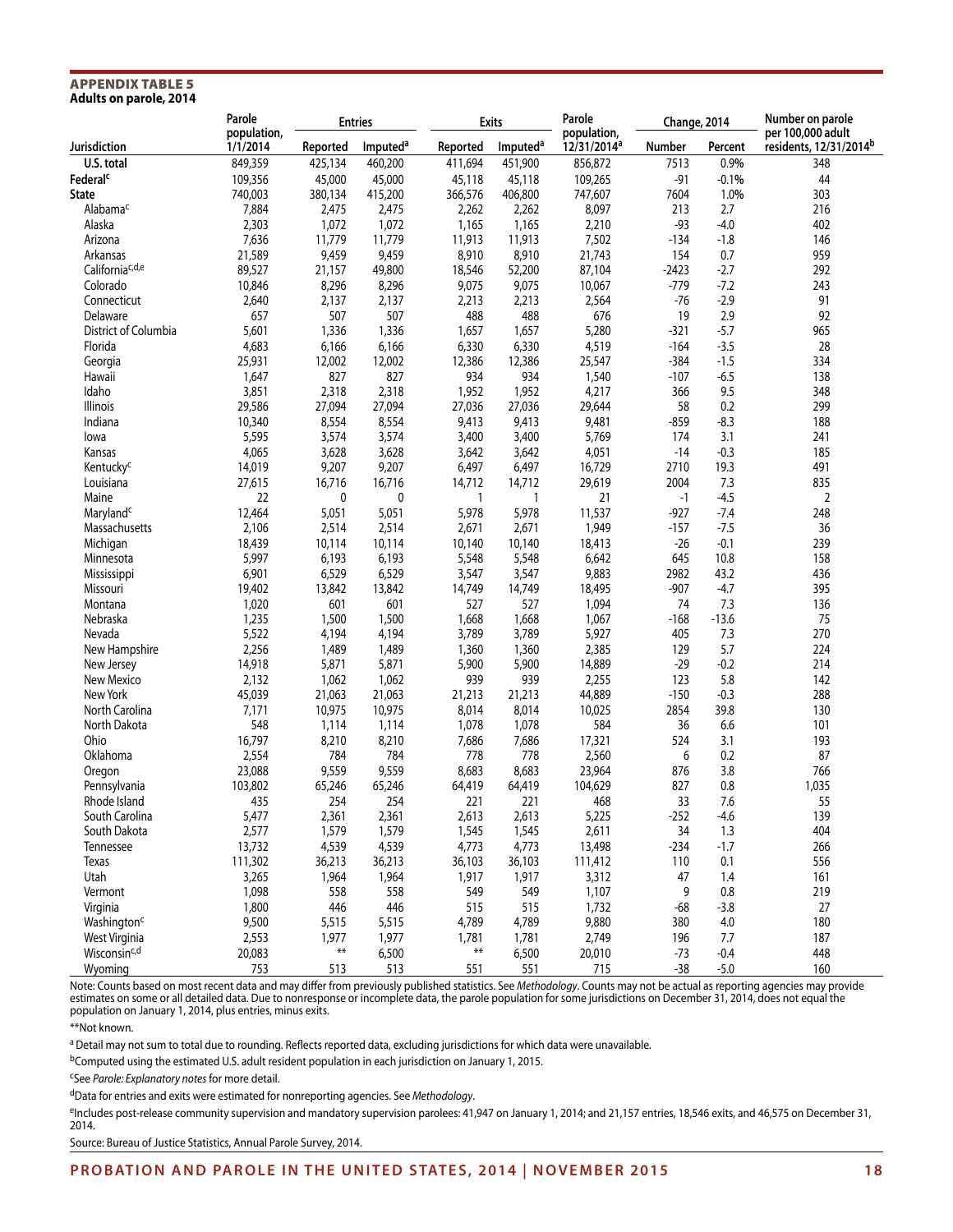#### Appendix Table 5 **Adults on parole, 2014**

|                             | Parole                  | <b>Entries</b> |                      | <b>Exits</b> |                      | Parole                                 | Change, 2014 |         | Number on parole                            |  |
|-----------------------------|-------------------------|----------------|----------------------|--------------|----------------------|----------------------------------------|--------------|---------|---------------------------------------------|--|
| Jurisdiction                | population,<br>1/1/2014 | Reported       | Imputed <sup>a</sup> | Reported     | Imputed <sup>a</sup> | population,<br>12/31/2014 <sup>a</sup> | Number       | Percent | per 100,000 adult<br>residents, 12/31/2014b |  |
| U.S. total                  | 849,359                 | 425,134        | 460,200              | 411,694      | 451,900              | 856,872                                | 7513         | 0.9%    | 348                                         |  |
| Federal <sup>c</sup>        | 109,356                 | 45,000         | 45,000               | 45,118       | 45,118               | 109,265                                | $-91$        | $-0.1%$ | 44                                          |  |
| <b>State</b>                | 740,003                 | 380,134        | 415,200              | 366,576      | 406,800              | 747,607                                | 7604         | 1.0%    | 303                                         |  |
| Alabama <sup>c</sup>        | 7,884                   | 2,475          | 2,475                | 2,262        | 2,262                | 8,097                                  | 213          | 2.7     | 216                                         |  |
| Alaska                      | 2,303                   | 1,072          | 1,072                | 1,165        | 1,165                | 2,210                                  | $-93$        | $-4.0$  | 402                                         |  |
| Arizona                     | 7,636                   | 11,779         | 11,779               | 11,913       | 11,913               | 7,502                                  | $-134$       | $-1.8$  | 146                                         |  |
| Arkansas                    | 21,589                  | 9,459          | 9,459                | 8,910        | 8,910                | 21,743                                 | 154          | 0.7     | 959                                         |  |
| California <sup>c,d,e</sup> | 89,527                  | 21,157         | 49,800               | 18,546       | 52,200               | 87,104                                 | $-2423$      | $-2.7$  | 292                                         |  |
| Colorado                    | 10,846                  | 8,296          | 8,296                | 9,075        | 9,075                | 10,067                                 | $-779$       | $-7.2$  | 243                                         |  |
| Connecticut                 | 2,640                   | 2,137          | 2,137                | 2,213        | 2,213                | 2,564                                  | $-76$        | $-2.9$  | 91                                          |  |
| Delaware                    | 657                     | 507            | 507                  | 488          | 488                  | 676                                    | 19           | 2.9     | 92                                          |  |
| District of Columbia        | 5,601                   | 1,336          | 1,336                | 1,657        | 1,657                | 5,280                                  | $-321$       | $-5.7$  | 965                                         |  |
| Florida                     | 4,683                   | 6,166          | 6,166                | 6,330        | 6,330                | 4,519                                  | $-164$       | $-3.5$  | 28                                          |  |
| Georgia                     | 25,931                  | 12,002         | 12,002               | 12,386       | 12,386               | 25,547                                 | $-384$       | $-1.5$  | 334                                         |  |
| Hawaii                      | 1,647                   | 827            | 827                  | 934          | 934                  | 1,540                                  | $-107$       | $-6.5$  | 138                                         |  |
| Idaho                       | 3,851                   | 2,318          | 2,318                | 1,952        | 1,952                | 4,217                                  | 366          | 9.5     | 348                                         |  |
| Illinois                    | 29,586                  | 27,094         | 27,094               | 27,036       | 27,036               | 29,644                                 | 58           | 0.2     | 299                                         |  |
| Indiana                     | 10,340                  | 8,554          | 8,554                | 9,413        | 9,413                | 9,481                                  | -859         | $-8.3$  | 188                                         |  |
| lowa                        | 5,595                   | 3,574          | 3,574                | 3,400        | 3,400                | 5,769                                  | 174          | 3.1     | 241                                         |  |
| Kansas                      | 4,065                   | 3,628          | 3,628                | 3,642        | 3,642                | 4,051                                  | $-14$        | $-0.3$  | 185                                         |  |
| Kentucky <sup>c</sup>       | 14,019                  | 9,207          | 9,207                | 6,497        | 6,497                | 16,729                                 | 2710         | 19.3    | 491                                         |  |
| Louisiana                   | 27,615                  | 16,716         | 16,716               | 14,712       | 14,712               | 29,619                                 | 2004         | 7.3     | 835                                         |  |
| Maine                       | 22                      | 0              | 0                    | 1            | 1                    | 21                                     | $-1$         | $-4.5$  | 2                                           |  |
|                             |                         |                |                      |              |                      |                                        | $-927$       | $-7.4$  |                                             |  |
| Maryland <sup>c</sup>       | 12,464                  | 5,051          | 5,051                | 5,978        | 5,978                | 11,537                                 |              |         | 248                                         |  |
| Massachusetts               | 2,106                   | 2,514          | 2,514                | 2,671        | 2,671                | 1,949                                  | $-157$       | $-7.5$  | 36                                          |  |
| Michigan                    | 18,439                  | 10,114         | 10,114               | 10,140       | 10,140               | 18,413                                 | $-26$        | $-0.1$  | 239                                         |  |
| Minnesota                   | 5,997                   | 6,193          | 6,193                | 5,548        | 5,548                | 6,642                                  | 645          | 10.8    | 158                                         |  |
| Mississippi                 | 6,901                   | 6,529          | 6,529                | 3,547        | 3,547                | 9,883                                  | 2982         | 43.2    | 436                                         |  |
| Missouri                    | 19,402                  | 13,842         | 13,842               | 14,749       | 14,749               | 18,495                                 | $-907$       | $-4.7$  | 395                                         |  |
| Montana                     | 1,020                   | 601            | 601                  | 527          | 527                  | 1,094                                  | 74           | 7.3     | 136                                         |  |
| Nebraska                    | 1,235                   | 1,500          | 1,500                | 1,668        | 1,668                | 1,067                                  | $-168$       | $-13.6$ | 75                                          |  |
| Nevada                      | 5,522                   | 4,194          | 4,194                | 3,789        | 3,789                | 5,927                                  | 405          | 7.3     | 270                                         |  |
| New Hampshire               | 2,256                   | 1,489          | 1,489                | 1,360        | 1,360                | 2,385                                  | 129          | 5.7     | 224                                         |  |
| New Jersey                  | 14,918                  | 5,871          | 5,871                | 5,900        | 5,900                | 14,889                                 | $-29$        | $-0.2$  | 214                                         |  |
| New Mexico                  | 2,132                   | 1,062          | 1,062                | 939          | 939                  | 2,255                                  | 123          | 5.8     | 142                                         |  |
| New York                    | 45,039                  | 21,063         | 21,063               | 21,213       | 21,213               | 44,889                                 | $-150$       | $-0.3$  | 288                                         |  |
| North Carolina              | 7,171                   | 10,975         | 10,975               | 8,014        | 8,014                | 10,025                                 | 2854         | 39.8    | 130                                         |  |
| North Dakota                | 548                     | 1,114          | 1,114                | 1,078        | 1,078                | 584                                    | 36           | 6.6     | 101                                         |  |
| Ohio                        | 16,797                  | 8,210          | 8,210                | 7,686        | 7,686                | 17,321                                 | 524          | 3.1     | 193                                         |  |
| Oklahoma                    | 2,554                   | 784            | 784                  | 778          | 778                  | 2,560                                  | 6            | 0.2     | 87                                          |  |
| Oregon                      | 23,088                  | 9,559          | 9,559                | 8,683        | 8,683                | 23,964                                 | 876          | 3.8     | 766                                         |  |
| Pennsylvania                | 103,802                 | 65,246         | 65,246               | 64,419       | 64,419               | 104,629                                | 827          | 0.8     | 1,035                                       |  |
| Rhode Island                | 435                     | 254            | 254                  | 221          | 221                  | 468                                    | 33           | 7.6     | 55                                          |  |
| South Carolina              | 5,477                   | 2,361          | 2,361                | 2,613        | 2,613                | 5,225                                  | $-252$       | $-4.6$  | 139                                         |  |
| South Dakota                | 2,577                   | 1,579          | 1,579                | 1,545        | 1,545                | 2,611                                  | 34           | 1.3     | 404                                         |  |
| Tennessee                   | 13,732                  | 4,539          | 4,539                | 4,773        | 4,773                | 13,498                                 | $-234$       | $-1.7$  | 266                                         |  |
| Texas                       | 111,302                 | 36,213         | 36,213               | 36,103       | 36,103               | 111,412                                | 110          | 0.1     | 556                                         |  |
| Utah                        | 3,265                   | 1,964          | 1,964                | 1,917        | 1,917                | 3,312                                  | 47           | 1.4     | 161                                         |  |
| Vermont                     | 1,098                   | 558            | 558                  | 549          | 549                  | 1,107                                  | 9            | 0.8     | 219                                         |  |
| Virginia                    | 1,800                   | 446            | 446                  | 515          | 515                  | 1,732                                  | $-68$        | $-3.8$  | 27                                          |  |
| Washington <sup>c</sup>     | 9,500                   | 5,515          | 5,515                | 4,789        | 4,789                | 9,880                                  | 380          | 4.0     | 180                                         |  |
| West Virginia               | 2,553                   | 1,977          | 1,977                | 1,781        | 1,781                | 2,749                                  | 196          | 7.7     | 187                                         |  |
| Wisconsin <sup>c,d</sup>    | 20,083                  | $***$          | 6,500                | $***$        | 6,500                | 20,010                                 | $-73$        | $-0.4$  | 448                                         |  |
| Wyoming                     | 753                     | 513            | 513                  | 551          | 551                  | 715                                    | $-38$        | $-5.0$  | 160                                         |  |

Note: Counts based on most recent data and may differ from previously published statistics. See *Methodology*. Counts may not be actual as reporting agencies may provide estimates on some or all detailed data. Due to nonresponse or incomplete data, the parole population for some jurisdictions on December 31, 2014, does not equal the population on January 1, 2014, plus entries, minus exits.

\*\*Not known.

a Detail may not sum to total due to rounding. Reflects reported data, excluding jurisdictions for which data were unavailable.

bComputed using the estimated U.S. adult resident population in each jurisdiction on January 1, 2015.

cSee *Parole: Explanatory notes* for more detail.

dData for entries and exits were estimated for nonreporting agencies. See *Methodology*.

eIncludes post-release community supervision and mandatory supervision parolees: 41,947 on January 1, 2014; and 21,157 entries, 18,546 exits, and 46,575 on December 31, 2014.

Source: Bureau of Justice Statistics, Annual Parole Survey, 2014.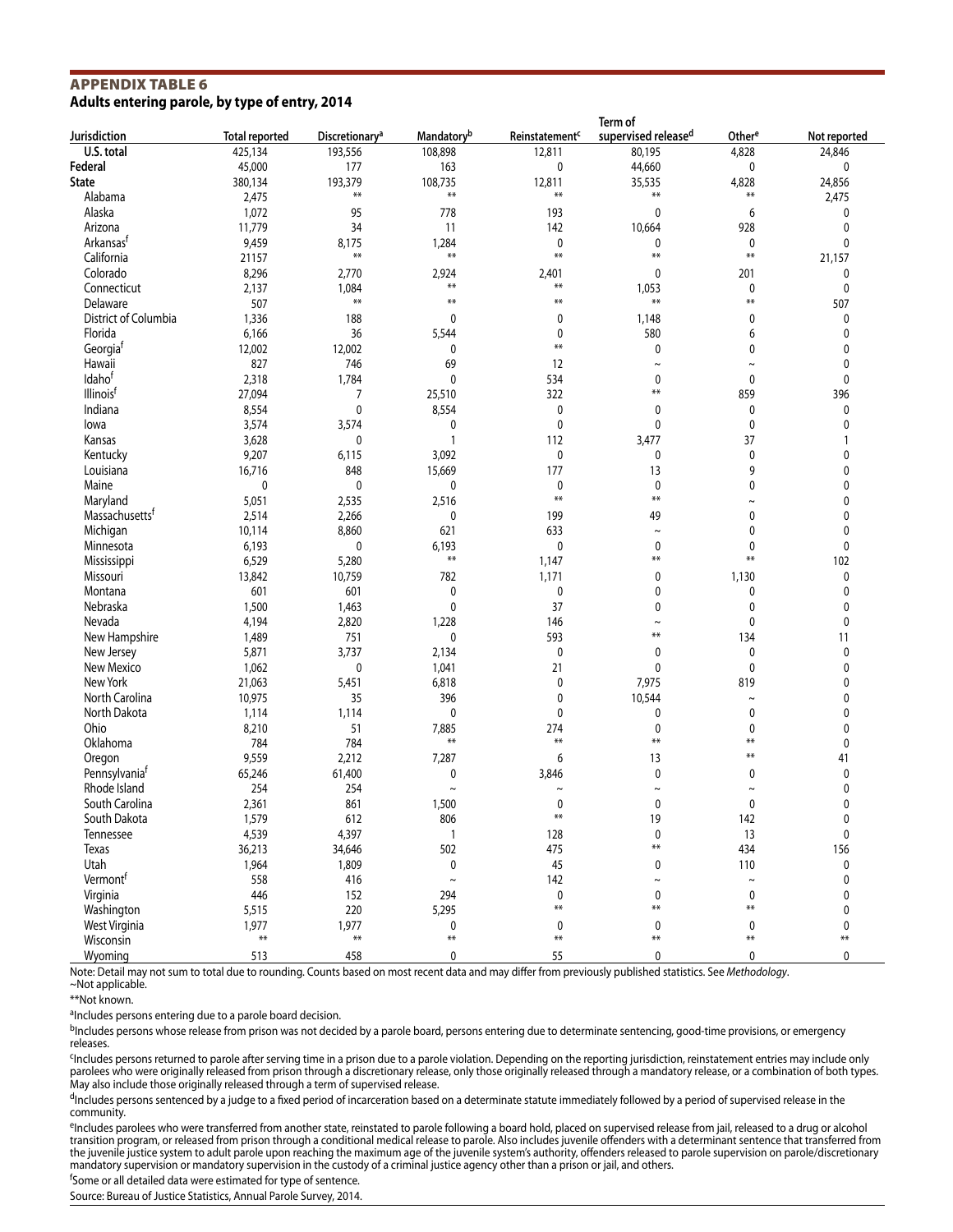#### Appendix Table 6 **Adults entering parole, by type of entry, 2014**

|                            |                       |                            |                               |                            | Term of             |                    |              |  |  |
|----------------------------|-----------------------|----------------------------|-------------------------------|----------------------------|---------------------|--------------------|--------------|--|--|
| Jurisdiction               | <b>Total reported</b> | Discretionary <sup>a</sup> | <b>Mandatory</b> <sup>b</sup> | Reinstatement <sup>c</sup> | supervised released | Other <sup>e</sup> | Not reported |  |  |
| U.S. total                 | 425,134               | 193,556                    | 108,898                       | 12,811                     | 80,195              | 4,828              | 24,846       |  |  |
| Federal                    | 45,000                | 177                        | 163                           | $\pmb{0}$                  | 44,660              | 0                  | 0            |  |  |
| <b>State</b>               | 380,134               | 193,379                    | 108,735                       | 12,811                     | 35,535              | 4,828              | 24,856       |  |  |
| Alabama                    | 2,475                 | $***$                      | $***$                         | $***$                      | $***$               | $***$              | 2,475        |  |  |
| Alaska                     | 1,072                 | 95                         | 778                           | 193                        | $\pmb{0}$           | 6                  | 0            |  |  |
| Arizona                    | 11,779                | 34                         | 11                            | 142                        | 10,664              | 928                | 0            |  |  |
| Arkansasf                  | 9,459                 | 8,175                      | 1,284                         | $\mathbf 0$                | 0                   | 0                  | 0            |  |  |
| California                 | 21157                 | $\pmb{\ast}\pmb{\ast}$     | **                            | $***$                      | $***$               | $***$              | 21,157       |  |  |
|                            |                       |                            |                               |                            |                     |                    |              |  |  |
| Colorado                   | 8,296                 | 2,770                      | 2,924<br>$**$                 | 2,401<br>$***$             | 0                   | 201                | 0            |  |  |
| Connecticut                | 2,137                 | 1,084                      |                               |                            | 1,053               | 0                  | 0            |  |  |
| Delaware                   | 507                   | $***$                      | $**$                          | $**$                       | $**$                | $**$               | 507          |  |  |
| District of Columbia       | 1,336                 | 188                        | 0                             | 0                          | 1,148               | 0                  | 0            |  |  |
| Florida                    | 6,166                 | 36                         | 5,544                         | 0                          | 580                 | 6                  | 0            |  |  |
| Georgia                    | 12,002                | 12,002                     | 0                             | $**$                       | 0                   | 0                  | 0            |  |  |
| Hawaii                     | 827                   | 746                        | 69                            | 12                         | $\sim$              | $\sim$             | 0            |  |  |
| Idahof                     | 2,318                 | 1,784                      | $\mathbf 0$                   | 534                        | $\mathbf 0$         | 0                  | 0            |  |  |
| Illinois <sup>f</sup>      | 27,094                | 7                          | 25,510                        | 322                        | $**$                | 859                | 396          |  |  |
| Indiana                    | 8,554                 | $\pmb{0}$                  | 8,554                         | $\pmb{0}$                  | 0                   | 0                  | 0            |  |  |
| lowa                       | 3,574                 | 3,574                      | 0                             | 0                          | 0                   | 0                  | 0            |  |  |
|                            |                       |                            | 1                             |                            |                     | 37                 | 1            |  |  |
| Kansas                     | 3,628                 | 0                          |                               | 112                        | 3,477               |                    |              |  |  |
| Kentucky                   | 9,207                 | 6,115                      | 3,092                         | 0                          | 0                   | 0                  | 0            |  |  |
| Louisiana                  | 16,716                | 848                        | 15,669                        | 177                        | 13                  | 9                  | 0            |  |  |
| Maine                      | 0                     | $\pmb{0}$                  | 0                             | 0                          | $\mathbf 0$         | 0                  | 0            |  |  |
| Maryland                   | 5,051                 | 2,535                      | 2,516                         | $***$                      | $**$                | $\tilde{}$         | 0            |  |  |
| Massachusetts <sup>t</sup> | 2,514                 | 2,266                      | 0                             | 199                        | 49                  | 0                  | 0            |  |  |
| Michigan                   | 10,114                | 8,860                      | 621                           | 633                        | $\tilde{}$          | 0                  | 0            |  |  |
| Minnesota                  | 6,193                 | $\pmb{0}$                  | 6,193                         | 0                          | 0                   | 0                  | 0            |  |  |
| Mississippi                | 6,529                 | 5,280                      | $***$                         | 1,147                      | $**$                | $**$               | 102          |  |  |
| Missouri                   | 13,842                | 10,759                     | 782                           | 1,171                      | 0                   | 1,130              | 0            |  |  |
| Montana                    | 601                   | 601                        | 0                             | 0                          | 0                   | 0                  | 0            |  |  |
| Nebraska                   | 1,500                 | 1,463                      | $\mathbf 0$                   | 37                         | $\mathbf 0$         | 0                  | 0            |  |  |
|                            |                       |                            |                               |                            |                     |                    |              |  |  |
| Nevada                     | 4,194                 | 2,820                      | 1,228                         | 146                        | $\tilde{}$<br>$**$  | 0                  | 0            |  |  |
| New Hampshire              | 1,489                 | 751                        | 0                             | 593                        |                     | 134                | 11           |  |  |
| New Jersey                 | 5,871                 | 3,737                      | 2,134                         | $\pmb{0}$                  | 0                   | 0                  | 0            |  |  |
| New Mexico                 | 1,062                 | $\pmb{0}$                  | 1,041                         | 21                         | $\mathbf 0$         | 0                  | 0            |  |  |
| New York                   | 21,063                | 5,451                      | 6,818                         | 0                          | 7,975               | 819                | 0            |  |  |
| North Carolina             | 10,975                | 35                         | 396                           | 0                          | 10,544              | $\sim$             | 0            |  |  |
| North Dakota               | 1,114                 | 1,114                      | 0                             | 0                          | 0                   | 0                  | 0            |  |  |
| Ohio                       | 8,210                 | 51                         | 7,885                         | 274                        | $\mathbf{0}$        | 0                  | 0            |  |  |
| Oklahoma                   | 784                   | 784                        | $***$                         | $***$                      | $**$                | $***$              | 0            |  |  |
| Oregon                     | 9,559                 | 2,212                      | 7,287                         | 6                          | 13                  | $***$              | 41           |  |  |
| Pennsylvania <sup>t</sup>  | 65,246                | 61,400                     | 0                             | 3,846                      | 0                   | 0                  | 0            |  |  |
| Rhode Island               | 254                   | 254                        | $\sim$                        | $\sim$                     | $\tilde{}$          | $\sim$             | 0            |  |  |
| South Carolina             |                       |                            |                               |                            |                     |                    | 0            |  |  |
|                            | 2,361                 | 861                        | 1,500                         | 0<br>$***$                 | 0                   | 0                  |              |  |  |
| South Dakota               | 1,579                 | 612                        | 806                           |                            | 19                  | 142                | 0            |  |  |
| Tennessee                  | 4,539                 | 4,397                      | $\mathbf{1}$                  | 128                        | $\pmb{0}$           | 13                 | 0            |  |  |
| Texas                      | 36,213                | 34,646                     | 502                           | 475                        | $**$                | 434                | 156          |  |  |
| Utah                       | 1,964                 | 1,809                      | 0                             | 45                         | 0                   | 110                | 0            |  |  |
| Vermontf                   | 558                   | 416                        | $\sim$                        | 142                        | $\tilde{}$          | $\thicksim$        | 0            |  |  |
| Virginia                   | 446                   | 152                        | 294                           | 0                          | 0                   | $\pmb{0}$          | 0            |  |  |
| Washington                 | 5,515                 | 220                        | 5,295                         | $**$                       | $**$                | $**$               | 0            |  |  |
| West Virginia              | 1,977                 | 1,977                      | 0                             | 0                          | 0                   | 0                  | 0            |  |  |
| Wisconsin                  | $\ast\ast$            | $\ast\ast$                 | $**$                          | $**$                       | $**$                | $\ast\ast$         | $***$        |  |  |
| Wyoming                    | 513                   | 458                        | 0                             | 55                         | 0                   | 0                  | 0            |  |  |
|                            |                       |                            |                               |                            |                     |                    |              |  |  |

Note: Detail may not sum to total due to rounding. Counts based on most recent data and may differ from previously published statistics. See *Methodology*. ~Not applicable.

\*\*Not known.

aIncludes persons entering due to a parole board decision.

bIncludes persons whose release from prison was not decided by a parole board, persons entering due to determinate sentencing, good-time provisions, or emergency releases.

<sup>c</sup>Includes persons returned to parole after serving time in a prison due to a parole violation. Depending on the reporting jurisdiction, reinstatement entries may include only parolees who were originally released from prison through a discretionary release, only those originally released through a mandatory release, or a combination of both types. May also include those originally released through a term of supervised release.

dIncludes persons sentenced by a judge to a fixed period of incarceration based on a determinate statute immediately followed by a period of supervised release in the community.

eIncludes parolees who were transferred from another state, reinstated to parole following a board hold, placed on supervised release from jail, released to a drug or alcohol transition program, or released from prison through a conditional medical release to parole. Also includes juvenile offenders with a determinant sentence that transferred from the juvenile justice system to adult parole upon reaching the maximum age of the juvenile system's authority, offenders released to parole supervision on parole/discretionary mandatory supervision or mandatory supervision in the custody of a criminal justice agency other than a prison or jail, and others.

<sup>f</sup>Some or all detailed data were estimated for type of sentence.

Source: Bureau of Justice Statistics, Annual Parole Survey, 2014.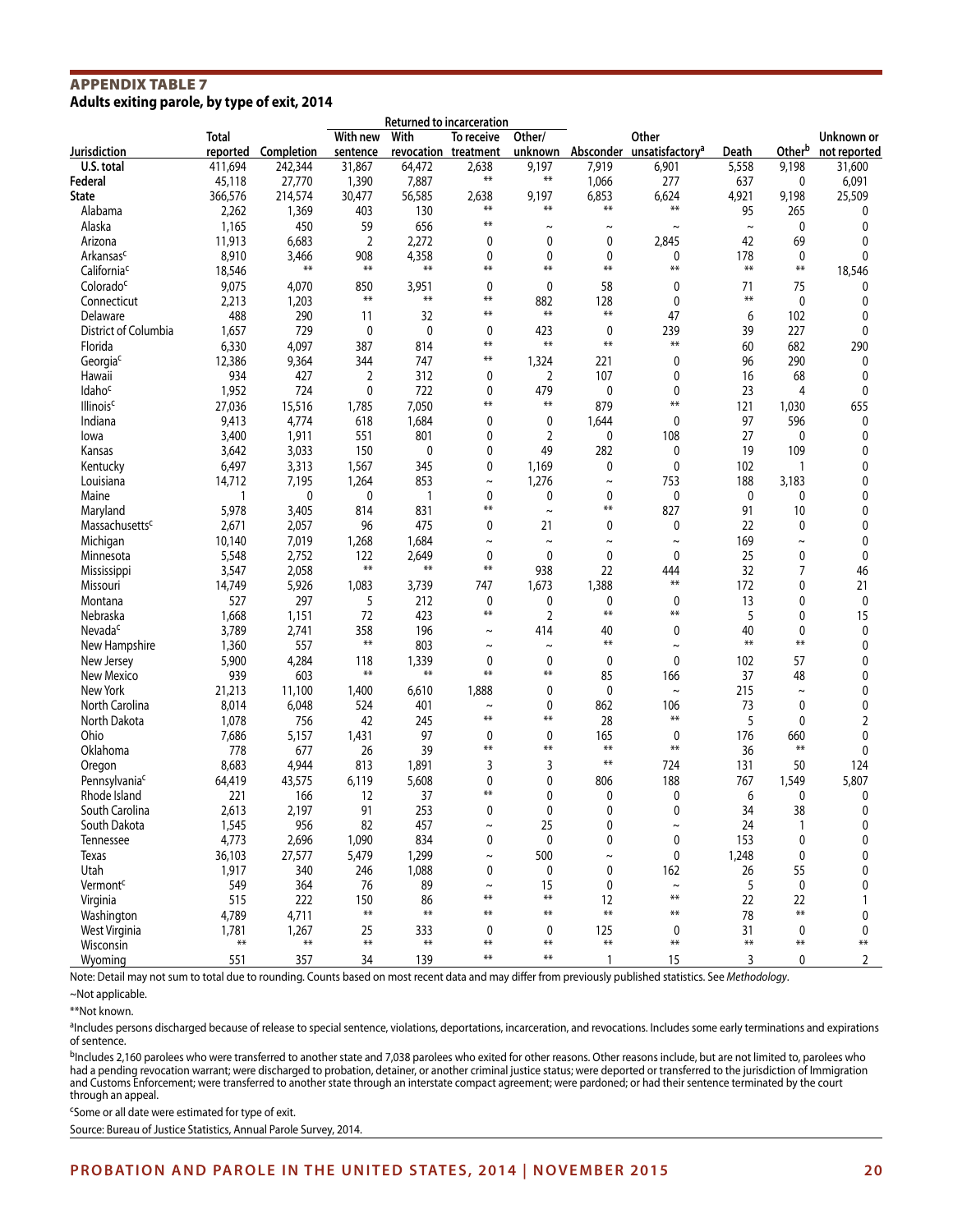#### Appendix Table 7 **Adults exiting parole, by type of exit, 2014**

|                             |                   |            |                      | Returned to incarceration |                                    |                   |              |                                      |             |                       |                            |
|-----------------------------|-------------------|------------|----------------------|---------------------------|------------------------------------|-------------------|--------------|--------------------------------------|-------------|-----------------------|----------------------------|
| Jurisdiction                | Total<br>reported | Completion | With new<br>sentence | With                      | To receive<br>revocation treatment | Other/<br>unknown | Absconder    | Other<br>unsatisfactory <sup>a</sup> | Death       | Otherb                | Unknown or<br>not reported |
| U.S. total                  | 411,694           | 242,344    | 31,867               | 64,472                    | 2,638                              | 9,197             | 7,919        | 6,901                                | 5,558       | 9,198                 | 31,600                     |
| Federal                     | 45,118            | 27,770     | 1,390                | 7,887                     | $***$                              | $***$             | 1,066        | 277                                  | 637         | 0                     | 6,091                      |
| <b>State</b>                | 366,576           | 214,574    | 30,477               | 56,585                    | 2,638                              | 9,197             | 6,853        | 6,624                                | 4,921       | 9,198                 | 25,509                     |
| Alabama                     | 2,262             | 1,369      | 403                  | 130                       | $**$                               | $***$             | $***$        | **                                   | 95          | 265                   | 0                          |
| Alaska                      | 1,165             | 450        | 59                   | 656                       | $**$                               | $\sim$            | $\sim$       | $\sim$                               | $\thicksim$ | 0                     | 0                          |
| Arizona                     | 11,913            | 6,683      | $\overline{2}$       | 2,272                     | 0                                  | 0                 | 0            | 2,845                                | 42          | 69                    | 0                          |
| Arkansas <sup>c</sup>       | 8,910             | 3,466      | 908                  | 4,358                     | 0                                  | 0                 | 0            | 0                                    | 178         | 0                     | 0                          |
| California <sup>c</sup>     | 18,546            | $***$      | $***$                | $***$                     | $***$                              | $***$             | $**$         | **                                   | $**$        | **                    | 18,546                     |
| Colorado <sup>c</sup>       | 9,075             | 4,070      | 850                  | 3,951                     | 0                                  | 0                 | 58           | 0                                    | 71          | 75                    | 0                          |
| Connecticut                 | 2,213             | 1,203      | $**$                 | $***$                     | $***$                              | 882               | 128          | 0                                    | $**$        | 0                     | 0                          |
| Delaware                    | 488               | 290        | 11                   | 32                        | $***$                              | $***$             | $**$         | 47                                   | 6           | 102                   | 0                          |
| District of Columbia        | 1,657             | 729        | 0                    | $\mathbf 0$               | 0                                  | 423               | $\mathbf 0$  | 239                                  | 39          | 227                   | 0                          |
| Florida                     | 6,330             | 4,097      | 387                  | 814                       | $**$                               | $***$             | $**$         | $**$                                 | 60          | 682                   | 290                        |
| Georgiac                    | 12,386            | 9,364      | 344                  | 747                       | $***$                              | 1,324             | 221          | 0                                    | 96          | 290                   | 0                          |
| Hawaii                      | 934               | 427        | 2                    | 312                       | 0                                  | 2                 | 107          | 0                                    | 16          | 68                    | 0                          |
| Idaho <sup>c</sup>          | 1,952             | 724        | 0                    | 722                       | 0                                  | 479               | 0            | 0                                    | 23          | 4                     | 0                          |
| <b>Illinois<sup>c</sup></b> | 27,036            | 15,516     | 1,785                | 7,050                     | $***$                              | $***$             | 879          | $***$                                | 121         | 1,030                 | 655                        |
| Indiana                     | 9,413             | 4,774      | 618                  | 1,684                     | 0                                  | 0                 | 1,644        | $\mathbf{0}$                         | 97          | 596                   | 0                          |
| lowa                        | 3,400             | 1,911      | 551                  | 801                       | 0                                  | 2                 | 0            | 108                                  | 27          | 0                     | 0                          |
| Kansas                      | 3,642             | 3,033      | 150                  | 0                         | 0                                  | 49                | 282          | 0                                    | 19          | 109                   | 0                          |
| Kentucky                    | 6,497             | 3,313      | 1,567                | 345                       | 0                                  | 1,169             | 0            | 0                                    | 102         | 1                     | 0                          |
| Louisiana                   | 14,712            | 7,195      | 1,264                | 853                       | $\tilde{}$                         | 1,276             | $\sim$       | 753                                  | 188         | 3,183                 | 0                          |
| Maine                       | 1                 | 0          | 0                    | $\mathbf{1}$              | 0                                  | 0                 | 0            | 0                                    | 0           | 0                     | 0                          |
| Maryland                    | 5,978             | 3,405      | 814                  | 831                       | $***$                              | $\sim$            | $***$        | 827                                  | 91          | 10                    | 0                          |
| Massachusetts <sup>c</sup>  | 2,671             | 2,057      | 96                   | 475                       | 0                                  | 21                | 0            | 0                                    | 22          | 0                     | 0                          |
| Michigan                    | 10,140            | 7,019      | 1,268                | 1,684                     | $\tilde{}$                         | $\tilde{}$        | $\tilde{}$   | $\tilde{}$                           | 169         | $\tilde{\phantom{a}}$ | 0                          |
| Minnesota                   | 5,548             | 2,752      | 122                  | 2.649                     | 0                                  | 0                 | 0            | 0                                    | 25          | 0                     | 0                          |
| Mississippi                 | 3,547             | 2,058      | $***$                | $***$                     | $**$                               | 938               | 22           | 444                                  | 32          | 7                     | 46                         |
| Missouri                    | 14,749            | 5,926      | 1,083                | 3,739                     | 747                                | 1,673             | 1,388        | $**$                                 | 172         | 0                     | 21                         |
| Montana                     | 527               | 297        | 5                    | 212                       | 0                                  | 0                 | 0            | 0                                    | 13          | 0                     | 0                          |
| Nebraska                    | 1,668             | 1,151      | 72                   | 423                       | $**$                               | $\overline{2}$    | $***$        | $***$                                | 5           | 0                     | 15                         |
| Nevada <sup>c</sup>         | 3,789             | 2,741      | 358                  | 196                       | $\tilde{}$                         | 414               | 40           | 0                                    | 40          | 0                     | 0                          |
| New Hampshire               | 1,360             | 557        | $**$                 | 803                       | $\tilde{}$                         | $\tilde{}$        | $**$         | $\tilde{}$                           | $***$       | $**$                  | $\mathbf{0}$               |
| New Jersey                  | 5,900             | 4,284      | 118                  | 1,339                     | 0                                  | 0                 | 0            | 0                                    | 102         | 57                    | 0                          |
| New Mexico                  | 939               | 603        | $**$                 | $***$                     | $**$                               | $***$             | 85           | 166                                  | 37          | 48                    | 0                          |
| New York                    | 21,213            | 11,100     | 1,400                | 6,610                     | 1,888                              | 0                 | 0            | $\tilde{\phantom{a}}$                | 215         | $\tilde{}$            | 0                          |
| North Carolina              | 8,014             | 6,048      | 524                  | 401                       | $\tilde{}$                         | 0                 | 862          | 106                                  | 73          | 0                     | 0                          |
| North Dakota                | 1,078             | 756        | 42                   | 245                       | $**$                               | $***$             | 28           | $**$                                 | 5           | 0                     | 2                          |
| Ohio                        | 7,686             | 5,157      | 1,431                | 97                        | 0                                  | 0                 | 165          | 0                                    | 176         | 660                   | 0                          |
| Oklahoma                    | 778               | 677        | 26                   | 39                        | $**$                               | $***$             | $***$        | $**$                                 | 36          | **                    | 0                          |
| Oregon                      | 8,683             | 4,944      | 813                  | 1,891                     | 3                                  | 3                 | $***$        | 724                                  | 131         | 50                    | 124                        |
| Pennsylvania <sup>c</sup>   | 64,419            | 43,575     | 6,119                | 5,608                     | 0                                  | 0                 | 806          | 188                                  | 767         | 1,549                 | 5,807                      |
| Rhode Island                | 221               | 166        | 12                   | 37                        | $***$                              | 0                 | 0            | 0                                    | 6           | 0                     | 0                          |
| South Carolina              | 2,613             | 2,197      | 91                   | 253                       | 0                                  | 0                 | $\mathbf{0}$ | $\mathbf{0}$                         | 34          | 38                    | 0                          |
| South Dakota                | 1,545             | 956        | 82                   | 457                       | $\sim$                             | 25                | 0            | $\sim$                               | 24          | 1                     | 0                          |
| Tennessee                   | 4,773             | 2,696      | 1,090                | 834                       | 0                                  | 0                 | $\mathbf 0$  | 0                                    | 153         | 0                     | 0                          |
| Texas                       | 36,103            | 27,577     | 5,479                | 1,299                     | $\sim$                             | 500               | $\thicksim$  | 0                                    | 1,248       | 0                     | 0                          |
| Utah                        | 1,917             | 340        | 246                  | 1,088                     | 0                                  | 0                 | $\mathbf 0$  | 162                                  | 26          | 55                    | 0                          |
| Vermont <sup>c</sup>        | 549               | 364        | 76                   | 89                        | $\sim$                             | 15                | 0            | $\tilde{\phantom{a}}$                | 5           | $\mathbf 0$           | 0                          |
| Virginia                    | 515               | 222        | 150                  | 86                        | $***$                              | $***$             | 12           | $**$                                 | 22          | 22                    | $\mathbf{1}$               |
| Washington                  | 4,789             | 4,711      | $***$                | $***$                     | $**$                               | $**$              | $**$         | $**$                                 | 78          | $**$                  | 0                          |
| West Virginia               | 1,781             | 1,267      | 25                   | 333                       | 0                                  | 0                 | 125          | 0                                    | 31          | 0                     | 0                          |
| Wisconsin                   | $***$             | $\ast\ast$ | $***$                | $***$                     | $***$                              | $***$             | $***$        | **                                   | $***$       | $***$                 | $**$                       |
| Wyoming                     | 551               | 357        | 34                   | 139                       | $\bf$                              | $***$             | $\mathbf{1}$ | 15                                   | 3           | 0                     | $\overline{2}$             |

Note: Detail may not sum to total due to rounding. Counts based on most recent data and may differ from previously published statistics. See *Methodology*.

aIncludes persons discharged because of release to special sentence, violations, deportations, incarceration, and revocations. Includes some early terminations and expirations of sentence.

bIncludes 2,160 parolees who were transferred to another state and 7,038 parolees who exited for other reasons. Other reasons include, but are not limited to, parolees who had a pending revocation warrant; were discharged to probation, detainer, or another criminal justice status; were deported or transferred to the jurisdiction of Immigration and Customs Enforcement; were transferred to another state through an interstate compact agreement; were pardoned; or had their sentence terminated by the court through an appeal.

<sup>c</sup>Some or all date were estimated for type of exit.

Source: Bureau of Justice Statistics, Annual Parole Survey, 2014.

<sup>~</sup>Not applicable.

<sup>\*\*</sup>Not known.